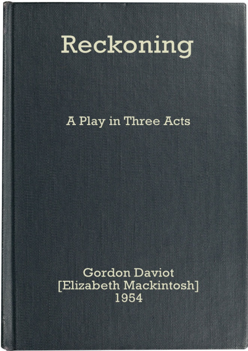# Reckoning

**A Play in Three Acts** 

**Gordon Daviot** [Elizabeth Mackintosh] 1954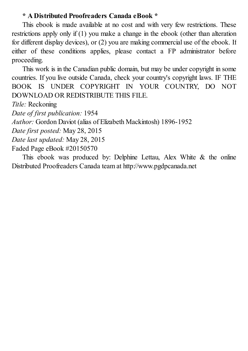#### **\* A Distributed Proofreaders Canada eBook \***

This ebook is made available at no cost and with very few restrictions. These restrictions apply only if (1) you make a change in the ebook (other than alteration for different display devices), or (2) you are making commercial use of the ebook. If either of these conditions applies, please contact a FP administrator before proceeding.

This work is in the Canadian public domain, but may be under copyright in some countries. If you live outside Canada, check your country's copyright laws. IF THE BOOK IS UNDER COPYRIGHT IN YOUR COUNTRY, DO NOT DOWNLOAD OR REDISTRIBUTE THIS FILE.

*Title:* Reckoning

*Date of first publication:* 1954

*Author:* Gordon Daviot (alias of Elizabeth Mackintosh) 1896-1952

*Date first posted:* May 28, 2015

*Date last updated:* May 28, 2015

Faded Page eBook #20150570

This ebook was produced by: Delphine Lettau, Alex White & the online Distributed Proofreaders Canada team at http://www.pgdpcanada.net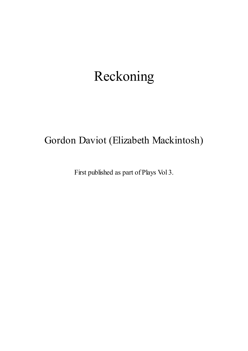# Reckoning

# Gordon Daviot (Elizabeth Mackintosh)

First published as part of Plays Vol 3.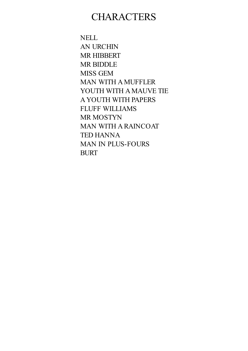### **CHARACTERS**

NELL AN URCHIN MR HIBBERT MR BIDDLE MISS GEM MAN WITH A MUFFLER YOUTH WITH A MAUVE TIE A YOUTH WITH PAPERS FLUFF WILLIAMS MR MOSTYN MAN WITH A RAINCOAT TED HANNA MAN IN PLUS-FOURS BURT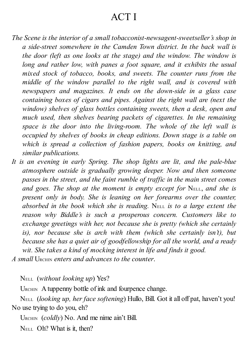## ACT I

- *The Scene is the interior of a small tobacconist-newsagent-sweetseller's shop in a side-street somewhere in the Camden Town district. In the back wall is the door (left as one looks at the stage) and the window. The window is long and rather low, with panes a foot square, and it exhibits the usual mixed stock of tobacco, books, and sweets. The counter runs from the middle of the window parallel to the right wall, and is covered with newspapers and magazines. It ends on the down-side in a glass case containing boxes of cigars and pipes. Against the right wall are (next the window) shelves of glass bottles containing sweets, then a desk, open and much used, then shelves bearing packets of cigarettes. In the remaining space is the door into the living-room. The whole of the left wall is occupied by shelves of books in cheap editions. Down stage is a table on which is spread a collection of fashion papers, books on knitting, and similar publications.*
- *It is an evening in early Spring. The shop lights are lit, and the pale-blue atmosphere outside is gradually growing deeper. Now and then someone passes in the street, and the faint rumble of traf ic in the main street comes and goes. The shop at the moment is empty except for* NELL, *and she is present only in body. She is leaning on her forearms over the counter, absorbed in the book which she is reading.* NELL *is to a large extent the reason why Biddle's is such a prosperous concern. Customers like to exchange greetings with her, not because she is pretty (which she certainly is), nor because she is arch with them (which she certainly isn't), but because she has a quiet air of goodfellowship for all the world, and a ready wit. She takes a kind of mocking interest in life and finds it good.*
- *A small* URCHIN *enters and advances to the counter*.

NELL (*without looking up*) Yes?

URCHIN A tuppenny bottle of ink and fourpence change.

NELL (*looking up, her face softening*) Hullo, Bill. Got it all off pat, haven't you! No use trying to do you, eh?

URCHIN (*coldly*) No. And me nime ain't Bill.

NELL Oh? What is it, then?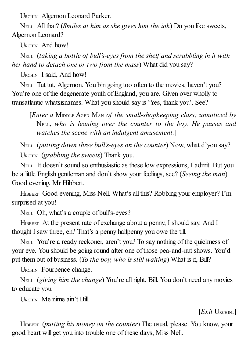URCHIN Algernon Leonard Parker.

NELL All that? (*Smiles at him as she gives him the ink*) Do you like sweets, Algernon Leonard?

URCHIN And how!

NELL (*taking a bottle of bull's-eyes from the shelf and scrabbling in it with her hand to detach one or two from the mass*) What did you say?

URCHIN I said, And how!

NELL Tut tut, Algernon. You bin going too often to the movies, haven't you? You're one of the degenerate youth of England, you are. Given over wholly to transatlantic whatsisnames. What you should say is 'Yes, thank you'. See?

[*Enter a* MIDDLE-AGED MAN *of the small-shopkeeping class; unnoticed by* NELL, *who is leaning over the counter to the boy. He pauses and watches the scene with an indulgent amusement.*]

NELL (*putting down three bull's-eyes on the counter*) Now, what d'you say? URCHIN (*grabbing the sweets*) Thank you.

NELL It doesn't sound so enthusiastic as these low expressions, I admit. But you be a little English gentleman and don't show your feelings, see? (*Seeing the man*) Good evening, Mr Hibbert.

HIBBERT Good evening, Miss Nell. What's all this? Robbing your employer? I'm surprised at you!

NELL Oh, what's a couple of bull's-eyes?

HIBBERT At the present rate of exchange about a penny, I should say. And I thought I saw three, eh? That's a penny halfpenny you owe the till.

NELL You're a ready reckoner, aren't you? To say nothing of the quickness of your eye. You should be going round after one of those pea-and-nut shows. You'd put them out of business. (*To the boy, who is still waiting*) What is it, Bill?

URCHIN Fourpence change.

NELL (*giving him the change*) You're allright, Bill. You don't need any movies to educate you.

URCHIN Me nime ain't Bill.

[*Exit* URCHIN.]

HIBBERT (*putting his money on the counter*) The usual, please. You know, your good heart will get you into trouble one of these days, Miss Nell.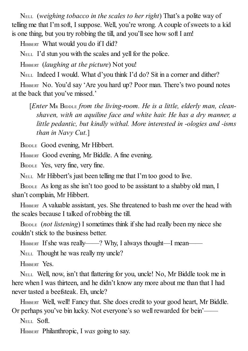NELL (*weighing tobacco in the scales to her right*) That's a polite way of telling me that I'm soft, I suppose. Well, you're wrong. A couple ofsweets to a kid is one thing, but you try robbing the till, and you'll see how soft I am!

HIBBERT What would you do if I did?

NELL I'd stun you with the scales and yell for the police.

HIBBERT (*laughing at the picture*) Not you!

NELL Indeed I would. What d'you think I'd do? Sit in a corner and dither?

HIBBERT No. You'd say 'Are you hard up? Poor man. There's two pound notes at the back that you've missed.'

[*Enter* M<sup>R</sup> BIDDLE *from the living-room. He is a little, elderly man, cleanshaven, with an aquiline face and white hair. He has a dry manner, a little pedantic, but kindly withal. More interested in -ologies and -isms than in Navy Cut.*]

BIDDLE Good evening, Mr Hibbert.

HIBBERT Good evening, Mr Biddle. A fine evening.

BIDDLE Yes, very fine, very fine.

NELL Mr Hibbert's just been telling me that I'm too good to live.

BIDDLE As long as she isn't too good to be assistant to a shabby old man, I shan't complain, Mr Hibbert.

HIBBERT A valuable assistant, yes. She threatened to bash me over the head with the scales because I talked of robbing the till.

BIDDLE (*not listening*) I sometimes think if she had really been my niece she couldn't stick to the business better.

HIBBERT If she was really——? Why, I always thought—I mean——

NELL Thought he was really my uncle?

HIBBERT Yes.

NELL Well, now, isn't that flattering for you, uncle! No, Mr Biddle took me in here when I was thirteen, and he didn't know any more about me than that I had never tasted a beefsteak. Eh, uncle?

HIBBERT Well, well! Fancy that. She does credit to your good heart, Mr Biddle. Or perhaps you've bin lucky. Not everyone's so wellrewarded for bein'——

NELL Soft.

HIBBERT Philanthropic, I *was* going to say.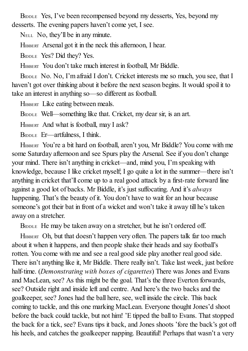BIDDLE Yes, I've been recompensed beyond my desserts, Yes, beyond my desserts. The evening papers haven't come yet, I see.

NELL No, they'll be in any minute.

HIBBERT Arsenal got it in the neck this afternoon, I hear.

BIDDLE Yes? Did they? Yes.

HIBBERT You don't take much interest in football, Mr Biddle.

BIDDLE No. No, I'm afraid I don't. Cricket interests me so much, you see, that I haven't got over thinking about it before the next season begins. It would spoil it to take an interest in anything so—so different as football.

HIBBERT Like eating between meals.

BIDDLE Well—something like that. Cricket, my dear sir, is an art.

HIBBERT And what is football, may I ask?

BIDDLE Er—artfulness, I think.

HIBBERT You're a bit hard on football, aren't you, Mr Biddle? You come with me some Saturday afternoon and see Spurs play the Arsenal. See if you don't change your mind. There isn't anything in cricket—and, mind you, I'm speaking with knowledge, because I like cricket myself; I go quite a lot in the summer—there isn't anything in cricket that'll come up to a real good attack by a first-rate forward line against a good lot of backs. Mr Biddle, it's just suffocating. And it's *always* happening. That's the beauty of it. You don't have to wait for an hour because someone's got their bat in front of a wicket and won't take it away till he's taken away on a stretcher.

BIDDLE He may be taken away on a stretcher, but he isn't ordered off.

HIBBERT Oh, but that doesn't happen very often. The papers talk far too much about it when it happens, and then people shake their heads and say football's rotten. You come with me and see a real good side play another real good side. There isn't anything like it, Mr Biddle. There really isn't. Take last week, just before half-time. (*Demonstrating with boxes of cigarettes*) There was Jones and Evans and MacLean, see? As this might be the goal. That's the three Everton forwards, see? Outside right and inside left and centre. And here's the two backs and the goalkeeper, see? Jones had the ball here, see, well inside the circle. This back coming to tackle, and this one marking MacLean. Everyone thought Jones'd shoot before the back could tackle, but not him! 'E tipped the ball to Evans. That stopped the back for a tick, see? Evans tips it back, and Jones shoots 'fore the back's got off his heels, and catches the goalkeeper napping. Beautiful! Perhaps that wasn't a very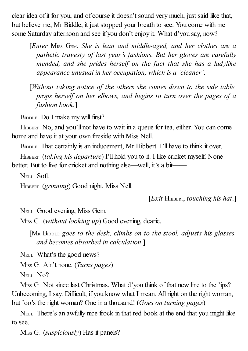clear idea of it for you, and of course it doesn't sound very much, just said like that, but believe me, Mr Biddle, it just stopped your breath to see. You come with me some Saturday afternoon and see if you don't enjoy it. What d'you say, now?

[*Enter* MISS GEM. *She is lean and middle-aged, and her clothes are a pathetic travesty of last year's fashions. But her gloves are carefully mended, and she prides herself on the fact that she has a ladylike appearance unusual in her occupation, which is a 'cleaner'.*

[*Without taking notice of the others she comes down to the side table, props herself on her elbows, and begins to turn over the pages of a fashion book.*]

BIDDLE DO I make my will first?

HIBBERT No, and you'll not have to wait in a queue for tea, either. You can come home and have it at your own fireside with Miss Nell.

BIDDLE That certainly is an inducement, Mr Hibbert. I'll have to think it over.

HIBBERT (*taking his departure*) I'll hold you to it. I like cricket myself. None better. But to live for cricket and nothing else—well, it's a bit——

NELL Soft.

HIBBERT (*grinning*) Good night, Miss Nell.

[*Exit* HIBBERT, *touching his hat*.]

NELL Good evening, Miss Gem.

MISS G. (*without looking up*) Good evening, dearie.

[M<sup>R</sup> BIDDLE *goes to the desk, climbs on to the stool, adjusts his glasses, and becomes absorbed in calculation*.]

NELL What's the good news?

MISS G. Ain't none. (*Turns pages*)

N<sub>ELL</sub> No?

M<sub>ISS</sub> G. Not since last Christmas. What d'you think of that new line to the 'ips? Unbecoming, I say. Difficult, if you know what I mean. Allright on the right woman, but 'oo's the right woman? One in a thousand! (*Goes on turning pages*)

NELL There's an awfully nice frock in that red book at the end that you might like to see.

MISS G. (*suspiciously*) Has it panels?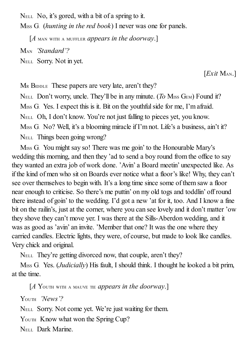NELL No, it's gored, with a bit of a spring to it.

MISS G. (*hunting in the red book*) I never was one for panels.

[*A* MAN WITH <sup>A</sup> MUFFLER *appears in the doorway*.]

MAN *'Standard'?*

NELL Sorry. Not in yet.

[*Exit* MAN.]

MR BIDDLE These papers are very late, aren't they? N<sub>ELL</sub> Don't worry, uncle. They'll be in any minute. (*To* M<sub>ISS</sub> G<sub>EM</sub>) Found it? M<sub>ISS</sub> G. Yes. I expect this is it. Bit on the youthful side for me, I'm afraid. NELL Oh, I don't know. You're not just falling to pieces yet, you know. M<sub>ISS</sub> G. No? Well, it's a blooming miracle if I'm not. Life's a business, ain't it? NELL Things been going wrong?

MISS G. You might say so! There was me goin' to the Honourable Mary's wedding this morning, and then they 'ad to send a boy round from the office to say they wanted an extra job of work done. 'Avin' a Board meetin' unexpected like. As if the kind of men who sit on Boards ever notice what a floor's like! Why, they can't see over themselves to begin with. It's a long time since some of them saw a floor near enough to criticise. So there's me puttin' on my old togs and toddlin' off round there instead of goin' to the wedding. I'd got a new 'at for it, too. And I know a fine bit on the railin's, just at the corner, where you can see lovely and it don't matter 'ow they shove they can't move yer. I was there at the Sills-Aberdon wedding, and it was as good as 'avin' an invite. 'Member that one? It was the one where they carried candles. Electric lights, they were, of course, but made to look like candles. Very chick and original.

NELL They're getting divorced now, that couple, aren't they?

MISS G. Yes. (*Judicially*) His fault, I should think. I thought he looked a bit prim, at the time.

[*A* YOUTH WITH <sup>A</sup> MAUVE TIE *appears in the doorway*.]

YOUTH *'News'?*

NELL Sorry. Not come yet. We're just waiting for them.

YOUTH Know what won the Spring Cup?

NELL Dark Marine.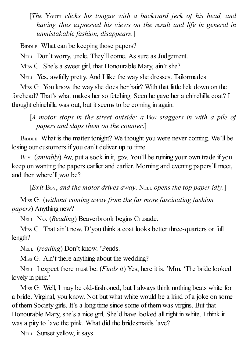[*The* YOUTH *clicks his tongue with a backward jerk of his head, and having thus expressed his views on the result and life in general in unmistakable fashion, disappears*.]

BIDDLE What can be keeping those papers?

NELL Don't worry, uncle. They'll come. As sure as Judgement.

M<sub>ISS</sub> G. She's a sweet girl, that Honourable Mary, ain't she?

NELL Yes, awfully pretty. And I like the way she dresses. Tailormades.

MISS G. You know the way she does her hair? With that little lick down on the forehead? That's what makes her so fetching. Seen he gave her a chinchilla coat? I thought chinchilla was out, but it seems to be coming in again.

[*A motor stops in the street outside; a* BOY *staggers in with a pile of papers and slaps them on the counter*.]

BIDDLE What is the matter tonight? We thought you were never coming. We'll be losing our customers if you can't deliver up to time.

Boy *(amiably)* Aw, put a sock in it, gov. You'll be ruining your own trade if you keep on wanting the papers earlier and earlier. Morning and evening papers'll meet, and then where'll *you* be?

[*Exit* BOY, *and the motor drives away*. NELL *opens the top paper idly*.]

MISS G. (*without coming away from the far more fascinating fashion papers*) Anything new?

NELL No. (*Reading*) Beaverbrook begins Crusade.

M<sub>ISS</sub> G. That ain't new. D'you think a coat looks better three-quarters or full length?

NELL (*reading*) Don't know. 'Pends.

M<sub>ISS</sub> G. Ain't there anything about the wedding?

NELL I expect there must be. (*Finds it*) Yes, here it is. 'Mm. 'The bride looked lovely in pink.'

MISS G. Well, I may be old-fashioned, but I always think nothing beats white for a bride. Virginal, you know. Not but what white would be a kind of a joke on some of them Society girls. It's a long time since some of them was virgins. But that Honourable Mary, she's a nice girl. She'd have looked allright in white. I think it was a pity to 'ave the pink. What did the bridesmaids 'ave?

NELL Sunset yellow, it says.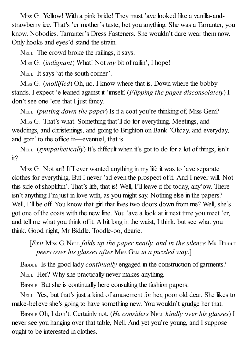MISS G. Yellow! With a pink bride! They must 'ave looked like a vanilla-andstrawberry ice. That's 'er mother's taste, bet you anything. She was a Tarranter, you know. Nobodies. Tarranter's Dress Fasteners. She wouldn't dare wear them now. Only hooks and eyes'd stand the strain.

NELL The crowd broke the railings, it says.

M<sub>ISS</sub> G. *(indignant)* What! Not *my* bit of railin', I hope!

NELL It says 'at the south corner'.

MISS G. (*mollified*) Oh, no. I know where that is. Down where the bobby stands. I expect 'e leaned against it 'imself. (*Flipping the pages disconsolately*) I don't see one 'ere that I just fancy.

NELL (*putting down the paper*) Is it a coat you're thinking of, Miss Gem?

MISS G. That's what. Something that'll do for everything. Meetings, and weddings, and christenings, and going to Brighton on Bank 'Oliday, and everyday, and goin' to the office in—eventual, that is.

NELL (*sympathetically*) It's difficult when it's got to do for a lot of things, isn't it?

M<sub>ISS</sub> G. Not arf! If I ever wanted anything in my life it was to 'ave separate clothes for everything. But I never 'ad even the prospect of it. And I never will. Not this side ofshopliftin'. That's life, that is! Well, I'll leave it for today, any'ow. There isn't anything I'm just in love with, as you might say. Nothing else in the papers? Well, I'll be off. You know that girl that lives two doors down from me? Well, she's got one of the coats with the new line. You 'ave a look at it next time you meet 'er, and tell me what you think of it. A bit long in the waist, I think, but see what you think. Good night, Mr Biddle. Toodle-oo, dearie.

[*Exit* MISS G. NELL *folds up the paper neatly, and in the silence* M<sup>R</sup> BIDDLE *peers over his glasses after* MISS GEM *in a puzzled way*.]

BIDDLE Is the good lady *continually* engaged in the construction of garments? NELL Her? Why she practically never makes anything.

BIDDLE But she is continually here consulting the fashion papers.

NELL Yes, but that's just a kind of amusement for her, poor old dear. She likes to make-believe she's going to have something new. You wouldn't grudge her that.

BIDDLE Oh, I don't. Certainly not. (*He considers* NELL *kindly over his glasses*) I never see you hanging over that table, Nell. And yet you're young, and I suppose ought to be interested in clothes.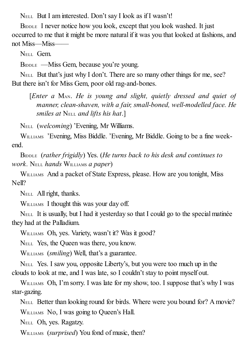NELL But I am interested. Don't say I look as if I wasn't!

BIDDLE I never notice how you look, except that you look washed. It just occurred to me that it might be more natural if it was you that looked at fashions, and not Miss—Miss——

NELL Gem.

BIDDLE —Miss Gem, because you're young.

NELL But that's just why I don't. There are so many other things for me, see? But there isn't for Miss Gem, poor old rag-and-bones.

[*Enter a* MAN. *He is young and slight, quietly dressed and quiet of manner, clean-shaven, with a fair, small-boned, well-modelled face. He smiles at* NELL *and lifts his hat*.]

NELL (*welcoming*) 'Evening, Mr Williams.

WILLIAMS 'Evening, Miss Biddle. 'Evening, Mr Biddle. Going to be a fine weekend.

BIDDLE (*rather frigidly*) Yes. (*He turns back to his desk and continues to work.* NELL *hands* WILLIAMS *a paper*)

WILLIAMS And a packet of State Express, please. How are you tonight, Miss Nell?

NELL All right, thanks.

WILLIAMS I thought this was your day off.

NELL It is usually, but I had it yesterday so that I could go to the special matinée they had at the Palladium.

WILLIAMS Oh, yes. Variety, wasn't it? Was it good?

NELL Yes, the Queen was there, you know.

WILLIAMS (*smiling*) Well, that's a guarantee.

NELL Yes. I saw you, opposite Liberty's, but you were too much up in the clouds to look at me, and I was late, so I couldn't stay to point myself out.

WILLIAMS Oh, I'm sorry. I was late for my show, too. I suppose that's why I was star-gazing.

NELL Better than looking round for birds. Where were you bound for? Amovie? WILLIAMS No, I was going to Oueen's Hall.

NELL Oh, yes. Ragatzy.

WILLIAMS (*surprised*) You fond of music, then?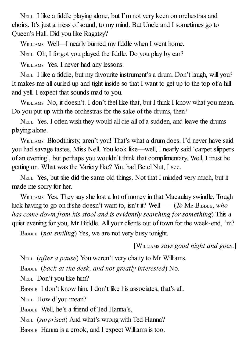NELL I like a fiddle playing alone, but I'm not very keen on orchestras and choirs. It's just a mess ofsound, to my mind. But Uncle and I sometimes go to Queen's Hall. Did you like Ragatzy?

WILLIAMS Well—I nearly burned my fiddle when I went home.

NELL Oh, I forgot you played the fiddle. Do you play by ear?

WILLIAMS Yes. I never had any lessons.

NELL I like a fiddle, but my favourite instrument's a drum. Don't laugh, will you? It makes me all curled up and tight inside so that I want to get up to the top of a hill and yell. I expect that sounds mad to you.

WILLIAMS No, it doesn't. I don't feel like that, but I think I know what you mean. Do you put up with the orchestras for the sake of the drums, then?

NELL Yes. I often wish they would all die all of a sudden, and leave the drums playing alone.

WILLIAMS Bloodthirsty, aren't you! That's what a drum does. I'd never have said you had savage tastes, Miss Nell. You look like—well, I nearly said 'carpet slippers of an evening', but perhaps you wouldn't think that complimentary. Well, I must be getting on. What was the Variety like? You had Betel Nut, I see.

NELL Yes, but she did the same old things. Not that I minded very much, but it made me sorry for her.

WILLIAMS Yes. They say she lost a lot of money in that Macaulay swindle. Tough luck having to go on ifshe doesn't want to, isn't it? Well——(*To* M<sup>R</sup> BIDDLE, *who has come down from his stool and is evidently searching for something*) This a quiet evening for you, Mr Biddle. All your clients out of town for the week-end, 'm?

B<sub>IDDLE</sub> (*not smiling*) Yes, we are not very busy tonight.

[WILLIAMS *says good night and goes*.]

NELL (*after a pause*) You weren't very chatty to Mr Williams.

BIDDLE (*back at the desk, and not greatly interested*) No.

NELL Don't you like him?

BIDDLE I don't know him. I don't like his associates, that's all.

NELL How d'you mean?

BIDDLE Well, he's a friend of Ted Hanna's.

NELL (*surprised*) And what's wrong with Ted Hanna?

BIDDLE Hanna is a crook, and I expect Williams is too.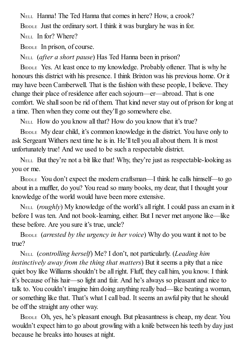NELL Hanna! The Ted Hanna that comes in here? How, a crook? BIDDLE Just the ordinary sort. I think it was burglary he was in for. N<sub>ELL</sub> In for? Where?

BIDDLE In prison, of course.

NELL (*after a short pause*) Has Ted Hanna been in prison?

BIDDLE Yes. At least once to my knowledge. Probably oftener. That is why he honours this district with his presence. I think Brixton was his previous home. Or it may have been Camberwell. That is the fashion with these people, I believe. They change their place of residence after each sojourn—er—abroad. That is one comfort. We shallsoon be rid of them. That kind never stay out of prison for long at a time. Then when they come out they'll go somewhere else.

NELL How do you know all that? How do you know that it's true?

BIDDLE My dear child, it's common knowledge in the district. You have only to ask Sergeant Withers next time he is in. He'll tell you all about them. It is most unfortunately true! And we used to be such a respectable district.

NELL But they're not a bit like that! Why, they're just as respectable-looking as you or me.

BIDDLE You don't expect the modern craftsman—I think he calls himself—to go about in a muffler, do you? You read so many books, my dear, that I thought your knowledge of the world would have been more extensive.

NELL (*roughly*) My knowledge of the world's allright. I could pass an exam in it before I was ten. And not book-learning, either. But I never met anyone like—like these before. Are you sure it's true, uncle?

BIDDLE (*arrested by the urgency in her voice*) Why do you want it not to be true?

NELL (*controlling herself*) Me? I don't, not particularly. (*Leading him instinctively away from the thing that matters*) But it seems a pity that a nice quiet boy like Williams shouldn't be all right. Fluff, they call him, you know. I think it's because of his hair—so light and fair. And he's always so pleasant and nice to talk to. You couldn't imagine him doing anything really bad—like beating a woman, or something like that. That's what I call bad. It seems an awful pity that he should be off the straight any other way.

BIDDLE Oh, yes, he's pleasant enough. But pleasantness is cheap, my dear. You wouldn't expect him to go about growling with a knife between his teeth by day just because he breaks into houses at night.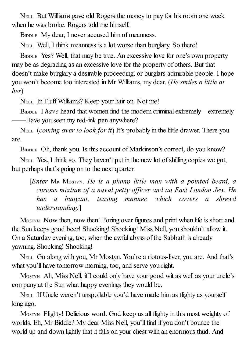NELL But Williams gave old Rogers the money to pay for his room one week when he was broke. Rogers told me himself.

BIDDLE My dear, I never accused him of meanness.

NELL Well, I think meanness is a lot worse than burglary. So there!

BIDDLE Yes? Well, that may be true. An excessive love for one's own property may be as degrading as an excessive love for the property of others. But that doesn't make burglary a desirable proceeding, or burglars admirable people. I hope you won't become too interested in Mr Williams, my dear. (*He smiles a little at her*)

NELL In Fluff Williams? Keep your hair on. Not me!

BIDDLE I *have* heard that women find the modern criminal extremely—extremely ——Have you seen my red-ink pen anywhere?

NELL (*coming over to look for it*) It's probably in the little drawer. There you are.

BIDDLE Oh, thank you. Is this account of Markinson's correct, do you know?

NELL Yes, I think so. They haven't put in the new lot of shilling copies we got, but perhaps that's going on to the next quarter.

[*Enter* M<sup>R</sup> MOSTYN. *He is a plump little man with a pointed beard, a curious mixture of a naval petty of icer and an East London Jew. He has a buoyant, teasing manner, which covers a shrewd understanding.*]

MOSTYN Now then, now then! Poring over figures and print when life is short and the Sun keeps good beer! Shocking! Shocking! Miss Nell, you shouldn't allow it. On a Saturday evening, too, when the awful abyss of the Sabbath is already yawning. Shocking! Shocking!

NELL Go along with you, Mr Mostyn. You're a riotous-liver, you are. And that's what you'll have tomorrow morning, too, and serve you right.

MOSTYN Ah, Miss Nell, if I could only have your good wit as well as your uncle's company at the Sun what happy evenings they would be.

NELL If Uncle weren't unspoilable you'd have made him as flighty as yourself long ago.

MOSTYN Flighty! Delicious word. God keep us all flighty in this most weighty of worlds. Eh, Mr Biddle? My dear Miss Nell, you'll find if you don't bounce the world up and down lightly that it falls on your chest with an enormous thud. And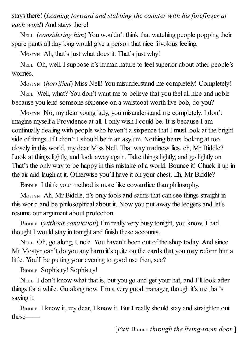stays there! (*Leaning forward and stabbing the counter with his forefinger at each word*) And stays there!

NELL (*considering him*) You wouldn't think that watching people popping their spare pants all day long would give a person that nice frivolous feeling.

MOSTYN Ah, that's just what does it. That's just why!

NELL Oh, well. I suppose it's human nature to feelsuperior about other people's worries.

MOSTYN (*horrified*) Miss Nell! You misunderstand me completely! Completely!

NELL Well, what? You don't want me to believe that you feel all nice and noble because you lend someone sixpence on a waistcoat worth five bob, do you?

MOSTYN No, my dear young lady, you misunderstand me completely. I don't imagine myself a Providence at all. I only wish I could be. It is because I am continually dealing with people who haven't a sixpence that I must look at the bright side of things. If I didn't I should be in an asylum. Nothing bears looking at too closely in this world, my dear Miss Nell. That way madness lies, eh, Mr Biddle? Look at things lightly, and look away again. Take things lightly, and go lightly on. That's the only way to be happy in this mistake of a world. Bounce it! Chuck it up in the air and laugh at it. Otherwise you'll have it on your chest. Eh, Mr Biddle?

BIDDLE I think your method is more like cowardice than philosophy.

MOSTYN Ah, Mr Biddle, it's only fools and saints that can see things straight in this world and be philosophical about it. Now you put away the ledgers and let's resume our argument about protection.

BIDDLE (*without conviction*) I'm really very busy tonight, you know. I had thought I would stay in tonight and finish these accounts.

NELL Oh, go along, Uncle. You haven't been out of the shop today. And since Mr Mostyn can't do you any harm it's quite on the cards that you may reform him a little. You'll be putting your evening to good use then, see?

BIDDLE Sophistry! Sophistry!

NELL I don't know what that is, but you go and get your hat, and I'll look after things for a while. Go along now. I'm a very good manager, though it's me that's saying it.

BIDDLE I know it, my dear, I know it. But I really should stay and straighten out these——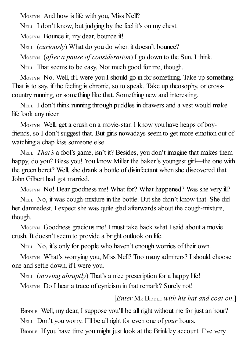MOSTYN And how is life with you, Miss Nell?

NELL I don't know, but judging by the feel it's on my chest.

MOSTYN Bounce it, my dear, bounce it!

NELL (*curiously*) What do you do when it doesn't bounce?

MOSTYN (*after a pause of consideration*) I go down to the Sun, I think.

NELL That seems to be easy. Not much good for me, though.

MOSTYN No. Well, if I were you I should go in for something. Take up something. That is to say, if the feeling is chronic, so to speak. Take up theosophy, or crosscountry running, or something like that. Something new and interesting.

NELL I don't think running through puddles in drawers and a vest would make life look any nicer.

MOSTYN Well, get a crush on a movie-star. I know you have heaps of boyfriends, so I don't suggest that. But girls nowadays seem to get more emotion out of watching a chap kiss someone else.

NELL *That's* a fool's game, isn't it? Besides, you don't imagine that makes them happy, do you? Bless you! You know Miller the baker's youngest girl—the one with the green beret? Well, she drank a bottle of disinfectant when she discovered that John Gilbert had got married.

MOSTYN No! Dear goodness me! What for? What happened? Was she very ill?

NELL No, it was cough-mixture in the bottle. But she didn't know that. She did her damnedest. I expect she was quite glad afterwards about the cough-mixture, though.

MOSTYN Goodness gracious me! I must take back what I said about a movie crush. It doesn't seem to provide a bright outlook on life.

NELL No, it's only for people who haven't enough worries of their own.

MOSTYN What's worrying you, Miss Nell? Too many admirers? I should choose one and settle down, if I were you.

NELL (*moving abruptly*) That's a nice prescription for a happy life!

MOSTYN Do I hear a trace of cynicism in that remark? Surely not!

#### [*Enter* M<sup>R</sup> BIDDLE *with his hat and coat on*.]

BIDDLE Well, my dear, I suppose you'll be all right without me for just an hour? NELL Don't you worry. I'll be allright for even one of *your* hours.

BIDDLE If you have time you might just look at the Brinkley account. I've very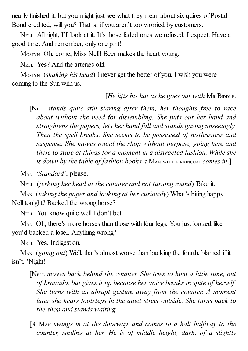nearly finished it, but you might just see what they mean about six quires of Postal Bond credited, will you? That is, if you aren't too worried by customers.

NELL Allright, I'll look at it. It's those faded ones we refused, I expect. Have a good time. And remember, only one pint!

MOSTYN Oh, come, Miss Nell! Beer makes the heart young.

N<sub>ELL</sub> Yes? And the arteries old.

MOSTYN (*shaking his head*) I never get the better of you. I wish you were coming to the Sun with us.

[*He lifts his hat as he goes out with* M<sup>R</sup> BIDDLE.

[NELL *stands quite still staring after them, her thoughts free to race about without the need for dissembling. She puts out her hand and straightens the papers, lets her hand fall and stands gazing unseeingly. Then the spell breaks. She seems to be possessed of restlessness and suspense. She moves round the shop without purpose, going here and there to stare at things for a moment in a distracted fashion. While she is down by the table of fashion books a* MAN WITH <sup>A</sup> RAINCOAT *comes in*.]

MAN '*Standard*', please.

NELL (*jerking her head at the counter and not turning round*) Take it.

MAN (*taking the paper and looking at her curiously*) What's biting happy Nell tonight? Backed the wrong horse?

NELL You know quite wellI don't bet.

M<sub>AN</sub> Oh, there's more horses than those with four legs. You just looked like you'd backed a loser. Anything wrong?

NELL Yes. Indigestion.

MAN (*going out*) Well, that's almost worse than backing the fourth, blamed if it isn't. 'Night!

[NELL *moves back behind the counter. She tries to hum a little tune, out of bravado, but gives it up because her voice breaks in spite of herself. She turns with an abrupt gesture away from the counter. A moment later she hears footsteps in the quiet street outside. She turns back to the shop and stands waiting.*

[*A* MAN *swings in at the doorway, and comes to a halt halfway to the counter, smiling at her. He is of middle height, dark, of a slightly*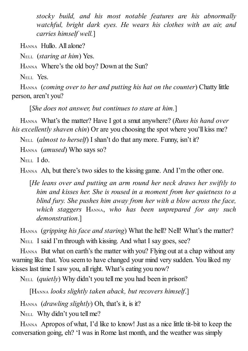*stocky build, and his most notable features are his abnormally watchful, bright dark eyes. He wears his clothes with an air, and carries himself well.*]

HANNA Hullo. All alone?

NELL (*staring at him*) Yes.

HANNA Where's the old boy? Down at the Sun?

N<sub>ELL</sub> Yes.

HANNA (*coming over to her and putting his hat on the counter*) Chatty little person, aren't you?

[*She does not answer, but continues to stare at him.*]

HANNA What's the matter? Have I got a smut anywhere? (*Runs his hand over his excellently shaven chin*) Or are you choosing the spot where you'll kiss me?

NELL (*almost to herself*) I shan't do that any more. Funny, isn't it?

HANNA (*amused*) Who says so?

NELL I do.

HANNA Ah, but there's two sides to the kissing game. And I'm the other one.

[*He leans over and putting an arm round her neck draws her swiftly to him and kisses her. She is roused in a moment from her quietness to a blind fury. She pushes him away from her with a blow across the face, which staggers* HANNA, *who has been unprepared for any such demonstration*.]

HANNA (*gripping his face and staring*) What the hell? Nell! What's the matter? NELL I said I'm through with kissing. And what I say goes, see?

HANNA But what on earth's the matter with you? Flying out at a chap without any warning like that. You seem to have changed your mind very sudden. You liked my kisses last time I saw you, all right. What's eating you now?

NELL (*quietly*) Why didn't you tell me you had been in prison?

[HANNA *looks slightly taken aback, but recovers himself*.]

HANNA (*drawling slightly*) Oh, that's it, is it?

NELL Why didn't you tell me?

HANNA Apropos of what, I'd like to know! Just as a nice little tit-bit to keep the conversation going, eh? 'I was in Rome last month, and the weather was simply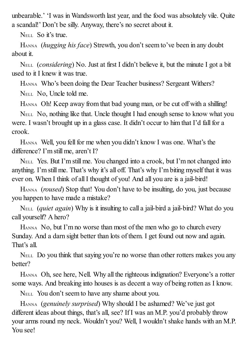unbearable.' 'I was in Wandsworth last year, and the food was absolutely vile. Quite a scandal!' Don't be silly. Anyway, there's no secret about it.

NELL So it's true.

HANNA (*hugging his face*) Strewth, you don't seem to've been in any doubt about it.

NELL (*considering*) No. Just at first I didn't believe it, but the minute I got a bit used to it I knew it was true.

HANNA Who's been doing the Dear Teacher business? Sergeant Withers?

NELL No, Uncle told me.

HANNA Oh! Keep away from that bad young man, or be cut off with a shilling!

NELL No, nothing like that. Uncle thought I had enough sense to know what you were. I wasn't brought up in a glass case. It didn't occur to him that I'd fall for a crook.

HANNA Well, you fell for me when you didn't know I was one. What's the difference? I'm still me, aren't I?

NELL Yes. But I'm still me. You changed into a crook, but I'm not changed into anything. I'm still me. That's why it's all off. That's why I'm biting myself that it was ever on. When I think of all I thought of you! And all you are is a jail-bird!

HANNA (*roused*) Stop that! You don't have to be insulting, do you, just because you happen to have made a mistake?

NELL (*quiet again*) Why is it insulting to call a jail-bird a jail-bird? What do you call yourself? A hero?

HANNA No, but I'm no worse than most of the men who go to church every Sunday. And a darn sight better than lots of them. I get found out now and again. That's all.

NELL Do you think that saying you're no worse than other rotters makes you any better?

HANNA Oh, see here, Nell. Why all the righteous indignation? Everyone's a rotter some ways. And breaking into houses is as decent a way of being rotten as I know.

NELL You don't seem to have any shame about you.

HANNA (*genuinely surprised*) Why should I be ashamed? We've just got different ideas about things, that's all, see? If I was an M.P. you'd probably throw your arms round my neck. Wouldn't you? Well, I wouldn't shake hands with an M.P. You see!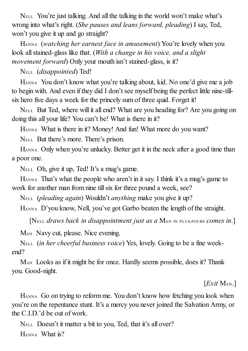NELL You're just talking. And all the talking in the world won't make what's wrong into what's right. (*She pauses and leans forward, pleading*) I say, Ted, won't you give it up and go straight?

HANNA (*watching her earnest face in amusement*) You're lovely when you look allstained-glass like that. (*With a change in his voice, and a slight movement forward*) Only your mouth isn't stained-glass, is it?

NELL (*disappointed*) Ted!

HANNA You don't know what you're talking about, kid. No one'd give me a job to begin with. And even if they did I don't see myself being the perfect little nine-tillsix hero five days a week for the princely sum of three quid. Forget it!

NELL But Ted, where will it all end? What are you heading for? Are you going on doing this all your life? You can't be! What is there in it?

HANNA What is there in it? Money! And fun! What more do you want?

NELL But there's more. There's prison.

HANNA Only when you're unlucky. Better get it in the neck after a good time than a poor one.

NELL Oh, give it up, Ted! It's a mug's game.

HANNA That's what the people who aren't in it say. I think it's a mug's game to work for another man from nine till six for three pound a week, see?

NELL (*pleading again*) Wouldn't *anything* make you give it up?

HANNA D'you know, Nell, you've got Garbo beaten the length of the straight.

[NELL *draws back in disappointment just as a* MAN IN PLUS-FOURS *comes in*.]

M<sub>AN</sub> Navy cut, please. Nice evening.

NELL (*in her cheerful business voice*) Yes, lovely. Going to be a fine weekend?

MAN Looks as if it might be for once. Hardly seems possible, does it? Thank you. Good-night.

[*Exit* MAN.]

HANNA Go on trying to reform me. You don't know how fetching you look when you're on the repentance stunt. It's a mercy you never joined the Salvation Army, or the C.I.D.'d be out of work.

NELL Doesn't it matter a bit to you, Ted, that it's all over? HANNA What is?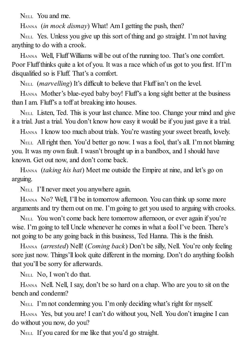NELL You and me.

HANNA (*in mock dismay*) What! Am I getting the push, then?

NELL Yes. Unless you give up this sort of thing and go straight. I'm not having anything to do with a crook.

HANNA Well, Fluff Williams will be out of the running too. That's one comfort. Poor Fluff thinks quite a lot of you. It was a race which of us got to you first. If I'm disqualified so is Fluff. That's a comfort.

NELL (*marvelling*) It's difficult to believe that Fluff isn't on the level.

HANNA Mother's blue-eyed baby boy! Fluff's a long sight better at the business than I am. Fluff's a toff at breaking into houses.

NELL Listen, Ted. This is your last chance. Mine too. Change your mind and give it a trial. Just a trial. You don't know how easy it would be if you just gave it a trial.

HANNA I know too much about trials. You're wasting your sweet breath, lovely.

NELL Allright then. You'd better go now. I was a fool, that's all. I'm not blaming you. It was my own fault. I wasn't brought up in a bandbox, and I should have known. Get out now, and don't come back.

HANNA (*taking his hat*) Meet me outside the Empire at nine, and let's go on arguing.

NELL I'll never meet you anywhere again.

HANNA No? Well, I'll be in tomorrow afternoon. You can think up some more arguments and try them out on me. I'm going to get you used to arguing with crooks.

NELL You won't come back here tomorrow afternoon, or ever again if you're wise. I'm going to tell Uncle whenever he comes in what a fool I've been. There's not going to be any going back in this business, Ted Hanna. This is the finish.

HANNA (*arrested*) Nell! (*Coming back*) Don't be silly, Nell. You're only feeling sore just now. Things'll look quite different in the morning. Don't do anything foolish that you'll be sorry for afterwards.

NELL No, I won't do that.

HANNA Nell. Nell, I say, don't be so hard on a chap. Who are you to sit on the bench and condemn?

NELL I'm not condemning you. I'm only deciding what's right for myself.

HANNA Yes, but you are! I can't do without you, Nell. You don't imagine I can do without you now, do you?

NELL If you cared for me like that you'd go straight.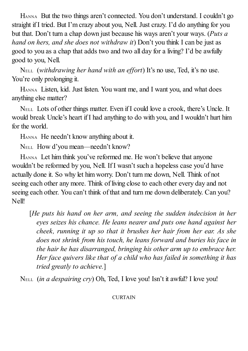HANNA But the two things aren't connected. You don't understand. I couldn't go straight if I tried. But I'm crazy about you, Nell. Just crazy. I'd do anything for you but that. Don't turn a chap down just because his ways aren't your ways. (*Puts a hand on hers, and she does not withdraw it*) Don't you think I can be just as good to you as a chap that adds two and two all day for a living? I'd be awfully good to you, Nell.

NELL (*withdrawing her hand with an ef ort*) It's no use, Ted, it's no use. You're only prolonging it.

HANNA Listen, kid. Just listen. You want me, and I want you, and what does anything else matter?

NELL Lots of other things matter. Even if I could love a crook, there's Uncle. It would break Uncle's heart if I had anything to do with you, and I wouldn't hurt him for the world.

HANNA He needn't know anything about it.

NELL How d'you mean—needn't know?

HANNA Let him think you've reformed me. He won't believe that anyone wouldn't be reformed by you, Nell. If I wasn't such a hopeless case you'd have actually done it. So why let him worry. Don't turn me down, Nell. Think of not seeing each other any more. Think of living close to each other every day and not seeing each other. You can't think of that and turn me down deliberately. Can you? Nell!

[*He puts his hand on her arm, and seeing the sudden indecision in her eyes seizes his chance. He leans nearer and puts one hand against her cheek, running it up so that it brushes her hair from her ear. As she does not shrink from his touch, he leans forward and buries his face in the hair he has disarranged, bringing his other arm up to embrace her. Her face quivers like that of a child who has failed in something it has tried greatly to achieve.*]

NELL (*in a despairing cry*) Oh, Ted, I love you! Isn't it awful? I love you!

#### **CURTAIN**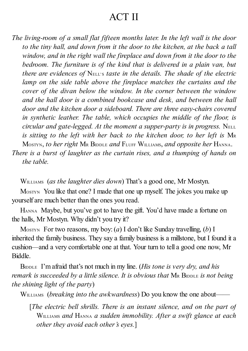### ACT II

*The living-room of a small flat fifteen months later. In the left wall is the door to the tiny hall, and down from it the door to the kitchen, at the back a tall window, and in the right wall the fireplace and down from it the door to the bedroom. The furniture is of the kind that is delivered in a plain van, but there are evidences of* NELL'S *taste in the details. The shade of the electric lamp on the side table above the fireplace matches the curtains and the cover of the divan below the window. In the corner between the window and the hall door is a combined bookcase and desk, and between the hall door and the kitchen door a sideboard. There are three easy-chairs covered in synthetic leather. The table, which occupies the middle of the floor, is circular and gate-legged. At the moment a supper-party is in progress.* NELL *is sitting to the left with her back to the kitchen door, to her left is* M<sup>R</sup> MOSTYN, *to her right* M<sup>R</sup> BIDDLE *and* FLUFF WILLIAMS, *and opposite her* HANNA. *There is a burst of laughter as the curtain rises, and a thumping of hands on the table.*

WILLIAMS (*as the laughter dies down*) That's a good one, Mr Mostyn.

MOSTYN You like that one? I made that one up myself. The jokes you make up yourself are much better than the ones you read.

HANNA Maybe, but you've got to have the gift. You'd have made a fortune on the halls, Mr Mostyn. Why didn't you try it?

MOSTYN For two reasons, my boy:(*a*) I don't like Sunday travelling, (*b*) I inherited the family business. They say a family business is a millstone, but I found it a cushion—and a very comfortable one at that. Your turn to tell a good one now, Mr Biddle.

BIDDLE I'm afraid that's not much in my line. (*His tone is very dry, and his remark is succeeded by a little silence. It is obvious that* M<sup>R</sup> BIDDLE *is not being the shining light of the party*)

WILLIAMS (*breaking into the awkwardness*) Do you know the one about——

[*The electric bell shrills. There is an instant silence, and on the part of* WILLIAMS *and* HANNA *a sudden immobility. After a swift glance at each other they avoid each other's eyes.*]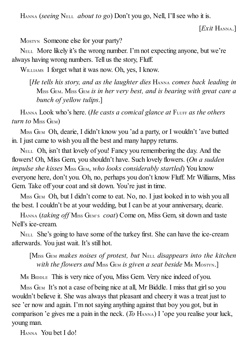HANNA (*seeing* NELL *about to go*) Don't you go, Nell, I'll see who it is.

[*Exit* HANNA.]

MOSTYN Someone else for your party?

NELL More likely it's the wrong number. I'm not expecting anyone, but we're always having wrong numbers. Tell us the story, Fluff.

WILLIAMS I forget what it was now. Oh, yes, I know.

[*He tells his story, and as the laughter dies* HANNA *comes back leading in* MISS GEM. MISS GEM *is in her very best, and is bearing with great care a bunch of yellow tulips*.]

HANNA Look who's here. (*He casts a comical glance at* FLUFF *as the others turn to* MISS GEM)

M<sub>ISS</sub> G<sub>EM</sub> Oh, dearie, I didn't know you 'ad a party, or I wouldn't 'ave butted in. I just came to wish you all the best and many happy returns.

NELL Oh, isn't that lovely of you! Fancy you remembering the day. And the flowers! Oh, Miss Gem, you shouldn't have. Such lovely flowers. (*On a sudden impulse she kisses* MISS GEM, *who looks considerably startled*) You know everyone here, don't you. Oh, no, perhaps you don't know Fluff. Mr Williams, Miss Gem. Take off your coat and sit down. You're just in time.

M<sub>ISS</sub> G<sub>EM</sub> Oh, but I didn't come to eat. No, no. I just looked in to wish you all the best. I couldn't be at your wedding, but I can be at your anniversary, dearie.

HANNA *(taking off Miss GEM's coat)* Come on, Miss Gem, sit down and taste Nell's ice-cream.

NELL She's going to have some of the turkey first. She can have the ice-cream afterwards. You just wait. It's still hot.

[MISS GEM *makes noises of protest, but* NELL *disappears into the kitchen with the flowers and* MISS GEM *is given a seat beside* M<sup>R</sup> MOSTYN.]

M<sup>R</sup> BIDDLE This is very nice of you, Miss Gem. Very nice indeed of you.

M<sub>ISS</sub> G<sub>EM</sub> It's not a case of being nice at all, Mr Biddle. I miss that girl so you wouldn't believe it. She was always that pleasant and cheery it was a treat just to see 'er now and again. I'm not saying anything against that boy you got, but in comparison 'e gives me a pain in the neck. (*To* HANNA) I 'ope you realise your luck, young man.

HANNA You bet I do!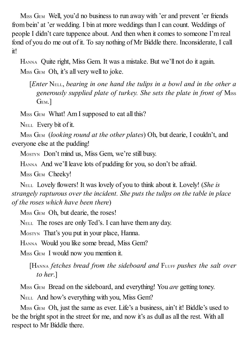M<sub>ISS</sub> G<sub>EM</sub> Well, you'd no business to run away with 'er and prevent 'er friends from bein' at 'er wedding. I bin at more weddings than I can count. Weddings of people I didn't care tuppence about. And then when it comes to someone I'm real fond of you do me out of it. To say nothing of Mr Biddle there. Inconsiderate, I call it!

HANNA Quite right, Miss Gem. It was a mistake. But we'll not do it again.

M<sub>ISS</sub> G<sub>EM</sub> Oh, it's all very well to joke.

[*Enter* NELL, *bearing in one hand the tulips in a bowl and in the other a generously supplied plate of turkey. She sets the plate in front of* MISS GEM.]

MISS GEM What! Am I supposed to eat all this?

NELL Every bit of it.

MISS GEM (*looking round at the other plates*) Oh, but dearie, I couldn't, and everyone else at the pudding!

MOSTYN Don't mind us, Miss Gem, we're still busy.

HANNA And we'll leave lots of pudding for you, so don't be afraid.

MISS GEM Cheeky!

NELL Lovely flowers! It was lovely of you to think about it. Lovely! (*She is strangely rapturous over the incident. She puts the tulips on the table in place of the roses which have been there*)

M<sub>ISS</sub> G<sub>EM</sub> Oh, but dearie, the roses!

NELL The roses are only Ted's. I can have them any day.

MOSTYN That's you put in your place, Hanna.

HANNA Would you like some bread, Miss Gem?

M<sub>ISS</sub> G<sub>EM</sub> I would now you mention it.

[HANNA *fetches bread from the sideboard and* FLUFF *pushes the salt over to her*.]

MISS GEM Bread on the sideboard, and everything! You *are* getting toney.

NELL And how's everything with you, Miss Gem?

M<sub>ISS</sub> G<sub>EM</sub> Oh, just the same as ever. Life's a business, ain't it! Biddle's used to be the bright spot in the street for me, and now it's as dull as all the rest. With all respect to Mr Biddle there.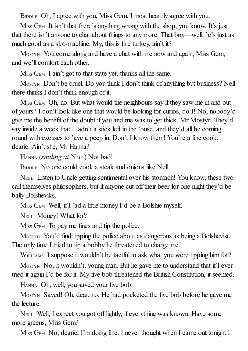BIDDLE Oh, I agree with you, Miss Gem. I most heartily agree with you.

M<sub>ISS</sub> G<sub>EM</sub> It isn't that there's anything wrong with the shop, you know. It's just that there isn't anyone to chat about things to any more. That boy—well, 'e's just as much good as a slot-machine. My, this is fine turkey, ain't it?

MOSTYN You come along and have a chat with me now and again, Miss Gem, and we'll comfort each other.

M<sub>ISS</sub> G<sub>EM</sub> I ain't got to that state yet, thanks all the same.

Mostyn Don't be cruel. Do you think I don't think of anything but business? Nell there thinks I don't think enough of it.

M<sub>ISS</sub> G<sub>EM</sub> Oh, no. But what would the neighbours say if they saw me in and out of yours? I don't look like one that would be looking for curios, do I! No, nobody'd give me the benefit of the doubt if you and me was to get thick, Mr Mostyn. They'd say inside a week that I 'adn't a stick left in the 'ouse, and they'd all be coming round with excuses to 'ave a peep in. Don't I know them! You're a fine cook, dearie. Ain't she, Mr Hanna?

HANNA (*smiling at* NELL) Not bad!

B<sub>IDDLE</sub> No one could cook a steak and onions like Nell.

NELL Listen to Uncle getting sentimental over his stomach! You know, these two call themselves philosophers, but if anyone cut off their beer for one night they'd be bally Bolsheviks.

MISS GEM Well, if I 'ad a little money I'd be a Bolshie myself.

NELL Money! What for?

M<sub>ISS</sub> G<sub>EM</sub> To pay me fines and tip the police.

MOSTYN You'd find tipping the police about as dangerous as being a Bolshevist. The only time I tried to tip a bobby he threatened to charge me.

WILLIAMS I suppose it wouldn't be tactful to ask what you were tipping him for?

MOSTYN No, it wouldn't, young man. But he gave me to understand that if I ever tried it again I'd be for it. My five bob threatened the British Constitution, it seemed.

HANNA Oh, well, you saved your five bob.

MOSTYN Saved! Oh, dear, no. He had pocketed the five bob before he gave me the lecture.

NELL Well, I expect you got off lightly, if everything was known. Have some more greens, Miss Gem?

M<sub>ISS</sub> G<sub>EM</sub> No, dearie, I'm doing fine. I never thought when I came out tonight I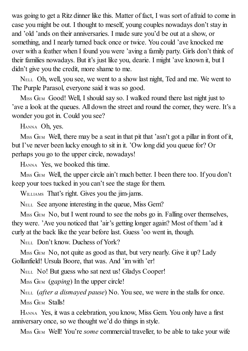was going to get a Ritz dinner like this. Matter of fact, I was sort of afraid to come in case you might be out. I thought to meself, young couples nowadays don't stay in and 'old 'ands on their anniversaries. I made sure you'd be out at a show, or something, and I nearly turned back once or twice. You could 'ave knocked me over with a feather when I found you were 'aving a family party. Girls don't think of their families nowadays. But it's just like you, dearie. I might 'ave known it, but I didn't give you the credit, more shame to me.

NELL Oh, well, you see, we went to a show last night, Ted and me. We went to The Purple Parasol, everyone said it was so good.

M<sub>ISS</sub> G<sub>EM</sub> Good! Well, I should say so. I walked round there last night just to 'ave a look at the queues. All down the street and round the corner, they were. It's a wonder you got in. Could you see?

HANNA Oh, yes.

 $M_{ISS}$  G<sub>EM</sub> Well, there may be a seat in that pit that 'asn't got a pillar in front of it, but I've never been lucky enough to sit in it. 'Ow long did you queue for? Or perhaps you go to the upper circle, nowadays!

HANNA Yes, we booked this time.

M<sub>ISS</sub> G<sub>EM</sub> Well, the upper circle ain't much better. I been there too. If you don't keep your toes tucked in you can't see the stage for them.

WILLIAMS That's right. Gives you the jim-jams.

NELL See anyone interesting in the queue, Miss Gem?

M<sub>ISS</sub> G<sub>EM</sub> No, but I went round to see the nobs go in. Falling over themselves, they were. 'Ave you noticed that 'air's getting longer again? Most of them 'ad it curly at the back like the year before last. Guess 'oo went in, though.

NELL Don't know. Duchess of York?

M<sub>ISS</sub> G<sub>EM</sub> No, not quite as good as that, but very nearly. Give it up? Lady Gollanfield! Ursula Boore, that was. And 'im with 'er!

NELL No! But guess who sat next us! Gladys Cooper!

M<sub>ISS</sub> G<sub>EM</sub> (*gaping*) In the upper circle!

NELL (*after a dismayed pause*) No. You see, we were in the stalls for once. MISS GEM Stalls!

HANNA Yes, it was a celebration, you know, Miss Gem. You only have a first anniversary once, so we thought we'd do things in style.

MISS GEM Well! You're *some* commercial traveller, to be able to take your wife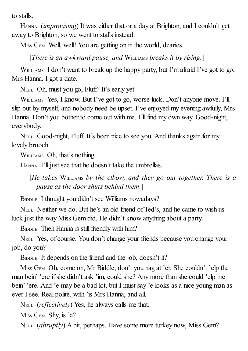to stalls.

HANNA (*improvising*) It was either that or a day at Brighton, and I couldn't get away to Brighton, so we went to stalls instead.

M<sub>ISS</sub> G<sub>EM</sub> Well, well! You are getting on in the world, dearies.

[*There is an awkward pause, and* WILLIAMS *breaks it by rising*.]

WILLIAMS I don't want to break up the happy party, but I'm afraid I've got to go, Mrs Hanna. I got a date.

NELL Oh, must you go, Fluff? It's early yet.

WILLIAMS Yes, I know. But I've got to go, worse luck. Don't anyone move. I'll slip out by myself, and nobody need be upset. I've enjoyed my evening awfully, Mrs Hanna. Don't you bother to come out with me. I'll find my own way. Good-night, everybody.

NELL Good-night, Fluff. It's been nice to see you. And thanks again for my lovely brooch.

WILLIAMS Oh, that's nothing.

HANNA I'll just see that he doesn't take the umbrellas.

[*He takes* WILLIAMS *by the elbow, and they go out together. There is a pause as the door shuts behind them.*]

BIDDLE I thought you didn't see Williams nowadays?

NELL Neither we do. But he's an old friend of Ted's, and he came to wish us luck just the way Miss Gem did. He didn't know anything about a party.

BIDDLE Then Hanna is still friendly with him?

NELL Yes, of course. You don't change your friends because you change your job, do you?

BIDDLE It depends on the friend and the job, doesn't it?

MISS GEM Oh, come on, Mr Biddle, don't you nag at 'er. She couldn't 'elp the man bein' 'ere ifshe didn't ask 'im, could she? Any more than she could 'elp me bein' 'ere. And 'e may be a bad lot, but I must say 'e looks as a nice young man as ever I see. Real polite, with 'is Mrs Hanna, and all.

NELL (*reflectively*) Yes, he always calls me that.

 $M_{ISS}$  G<sub>EM</sub> Shy, is 'e?

NELL (*abruptly*) A bit, perhaps. Have some more turkey now, Miss Gem?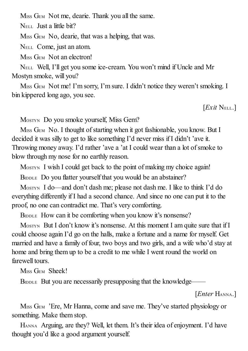M<sub>ISS</sub> G<sub>EM</sub> Not me, dearie. Thank you all the same.

NELL Just a little bit?

M<sub>ISS</sub> G<sub>EM</sub> No, dearie, that was a helping, that was.

NELL Come, just an atom.

M<sub>ISS</sub> G<sub>EM</sub> Not an electron!

NELL Well, I'll get you some ice-cream. You won't mind if Uncle and Mr Mostyn smoke, will you?

M<sub>ISS</sub> G<sub>EM</sub> Not me! I'm sorry, I'm sure. I didn't notice they weren't smoking. I bin kippered long ago, you see.

[*Exit* NELL.]

MOSTYN Do you smoke yourself, Miss Gem?

MISS GEM No. I thought of starting when it got fashionable, you know. But I decided it was silly to get to like something I'd never miss if I didn't 'ave it. Throwing money away. I'd rather 'ave a 'at I could wear than a lot ofsmoke to blow through my nose for no earthly reason.

MOSTYN I wish I could get back to the point of making my choice again!

BIDDLE Do you flatter yourself that you would be an abstainer?

MOSTYN I do—and don't dash me; please not dash me. I like to think I'd do everything differently if I had a second chance. And since no one can put it to the proof, no one can contradict me. That's very comforting.

BIDDLE How can it be comforting when you know it's nonsense?

MOSTYN But I don't know it's nonsense. At this moment I am quite sure that if I could choose again I'd go on the halls, make a fortune and a name for myself. Get married and have a family of four, two boys and two girls, and a wife who'd stay at home and bring them up to be a credit to me while I went round the world on farewell tours.

M<sub>ISS</sub> G<sub>EM</sub> Sheek!

BIDDLE But you are necessarily presupposing that the knowledge——

[*Enter* HANNA.]

M<sub>ISS</sub> G<sub>EM</sub> 'Ere, Mr Hanna, come and save me. They've started physiology or something. Make them stop.

HANNA Arguing, are they? Well, let them. It's their idea of enjoyment. I'd have thought you'd like a good argument yourself.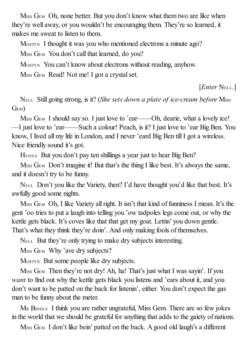M<sub>ISS</sub> G<sub>EM</sub> Oh, none better. But you don't know what them two are like when they're well away, or you wouldn't be encouraging them. They're so learned, it makes me sweat to listen to them.

MOSTYN I thought it was you who mentioned electrons a minute ago?

MISS GEM You don't call that learned, do you?

MOSTYN You can't know about electrons without reading, anyhow.

MISS GEM Read! Not me! I got a crystal set.

[*Enter* NELL.]

NELL Still going strong, is it? (*She sets down a plate of ice-cream before* MISS GEM)

MISS GEM I should say so. I just love to 'ear——Oh, dearie, what a lovely ice! —I just love to 'ear——Such a colour! Peach, is it? I just love to 'ear Big Ben. You know, I lived all my life in London, and I never 'eard Big Ben till I got a wireless. Nice friendly sound it's got.

HANNA But you don't pay ten shillings a year just to hear Big Ben?

M<sub>ISS</sub> G<sub>EM</sub> Don't imagine it! But that's the thing I like best. It's always the same, and it doesn't try to be funny.

NELL Don't you like the Variety, then? I'd have thought you'd like that best. It's awfully good some nights.

M<sub>ISS</sub> G<sub>EM</sub> Oh, I like Variety all right. It isn't that kind of funniness I mean. It's the gent 'oo tries to put a laugh into telling you 'ow tadpoles legs come out, or why the kettle gets black. It's coves like that that get my goat. Lettin' you down gentle. That's what they think they're doin'. And only making fools of themselves.

NELL But they're only trying to make dry subjects interesting.

M<sub>ISS</sub> G<sub>EM</sub> Why 'ave dry subjects?

MOSTYN But some people like dry subjects.

M<sub>ISS</sub> G<sub>EM</sub> Then they're not dry! Ah, ha! That's just what I was sayin'. If you *want* to find out why the kettle gets black you listens and 'ears about it, and you don't want to be patted on the back for listenin', either. You don't expect the gas man to be funny about the meter.

M<sup>R</sup> BIDDLE I think you are rather ungrateful, Miss Gem. There are so few jokes in the world that we should be grateful for anything that adds to the gaiety of nations.

M<sub>ISS</sub> G<sub>EM</sub> I don't like bein' patted on the back. A good old laugh's a different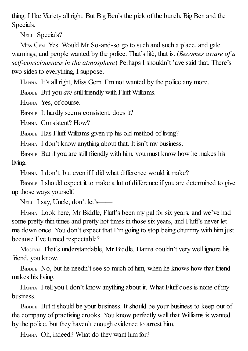thing. I like Variety allright. But Big Ben's the pick of the bunch. Big Ben and the Specials.

NELL Specials?

M<sub>ISS</sub> G<sub>EM</sub> Yes. Would Mr So-and-so go to such and such a place, and gale warnings, and people wanted by the police. That's life, that is. (*Becomes aware of a self-consciousness in the atmosphere*) Perhaps I shouldn't 'ave said that. There's two sides to everything, I suppose.

HANNA It's allright, Miss Gem. I'm not wanted by the police any more.

BIDDLE But you *are* still friendly with Fluff Williams.

HANNA Yes, of course.

BIDDLE It hardly seems consistent, does it?

HANNA Consistent? How?

BIDDLE Has Fluff Williams given up his old method of living?

HANNA I don't know anything about that. It isn't my business.

BIDDLE But if you are still friendly with him, you must know how he makes his living.

HANNA I don't, but even if I did what difference would it make?

BIDDLE I should expect it to make a lot of difference if you are determined to give up those ways yourself.

NELL I say, Uncle, don't let's——

HANNA Look here, Mr Biddle, Fluff's been my palfor six years, and we've had some pretty thin times and pretty hot times in those six years, and Fluff's never let me down once. You don't expect that I'm going to stop being chummy with him just because I've turned respectable?

MOSTYN That's understandable, Mr Biddle. Hanna couldn't very well ignore his friend, you know.

BIDDLE No, but he needn't see so much of him, when he knows how that friend makes his living.

HANNA I tell you I don't know anything about it. What Fluff does is none of my business.

BIDDLE But it should be your business. It should be your business to keep out of the company of practising crooks. You know perfectly well that Williams is wanted by the police, but they haven't enough evidence to arrest him.

HANNA Oh, indeed? What do they want him for?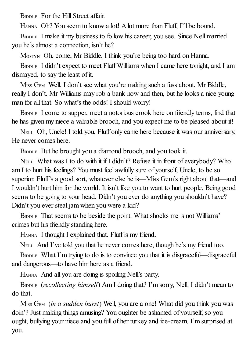BIDDLE For the Hill Street affair.

HANNA Oh? You seem to know a lot! A lot more than Fluff, I'll be bound.

BIDDLE I make it my business to follow his career, you see. Since Nell married you he's almost a connection, isn't he?

MOSTYN Oh, come, Mr Biddle, I think you're being too hard on Hanna.

BIDDLE I didn't expect to meet Fluff Williams when I came here tonight, and I am dismayed, to say the least of it.

M<sub>ISS</sub> G<sub>EM</sub> Well, I don't see what you're making such a fuss about, Mr Biddle, really I don't. Mr Williams may rob a bank now and then, but he looks a nice young man for all that. So what's the odds! I should worry!

BIDDLE I come to supper, meet a notorious crook here on friendly terms, find that he has given my niece a valuable brooch, and you expect me to be pleased about it!

NELL Oh, Uncle! I told you, Fluff only came here because it was our anniversary. He never comes here.

BIDDLE But he brought you a diamond brooch, and you took it.

NELL What was I to do with it if I didn't? Refuse it in front of everybody? Who am I to hurt his feelings? You must feel awfully sure of yourself, Uncle, to be so superior. Fluff's a good sort, whatever else he is—Miss Gem's right about that—and I wouldn't hurt him for the world. It isn't like you to want to hurt people. Being good seems to be going to your head. Didn't you ever do anything you shouldn't have? Didn't you ever steal jam when you were a kid?

BIDDLE That seems to be beside the point. What shocks me is not Williams' crimes but his friendly standing here.

HANNA I thought I explained that. Fluff is my friend.

NELL And I've told you that he never comes here, though he's my friend too.

BIDDLE What I'm trying to do is to convince you that it is disgraceful—disgraceful and dangerous—to have him here as a friend.

HANNA And all you are doing is spoiling Nell's party.

BIDDLE (*recollecting himself*) Am I doing that? I'm sorry, Nell. I didn't mean to do that.

MISS GEM (*in a sudden burst*) Well, you are a one! What did you think you was doin'? Just making things amusing? You oughter be ashamed of yourself, so you ought, bullying your niece and you full of her turkey and ice-cream. I'm surprised at you.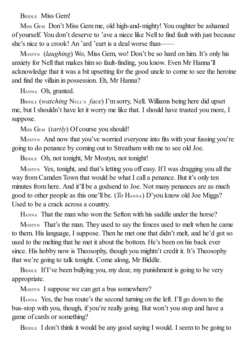BIDDLE Miss Gem!

M<sub>ISS</sub> G<sub>EM</sub> Don't Miss Gem me, old high-and-mighty! You oughter be ashamed of yourself. You don't deserve to 'ave a niece like Nell to find fault with just because she's nice to a crook! An 'ard 'eart is a deal worse than——

MOSTYN (*laughing*) Wo, Miss Gem, wo! Don't be so hard on him. It's only his anxiety for Nell that makes him so fault-finding, you know. Even Mr Hanna'll acknowledge that it was a bit upsetting for the good uncle to come to see the heroine and find the villain in possession. Eh, Mr Hanna?

HANNA Oh, granted.

BIDDLE (*watching* NELL'S *face*) I'm sorry, Nell. Williams being here did upset me, but I shouldn't have let it worry me like that. I should have trusted you more, I suppose.

M<sub>ISS</sub> G<sub>EM</sub> (*tartly*) Of course you should!

MOSTYN And now that you've worried everyone into fits with your fussing you're going to do penance by coming out to Streatham with me to see old Joe.

BIDDLE Oh, not tonight, Mr Mostyn, not tonight!

MOSTYN Yes, tonight, and that's letting you off easy. If I was dragging you all the way from Camden Town that would be what I call a penance. But it's only ten minutes from here. And it'll be a godsend to Joe. Not many penances are as much good to other people as this one'll be. (*To* HANNA) D'you know old Joe Miggs? Used to be a crack across a country.

HANNA That the man who won the Sefton with his saddle under the horse?

MOSTYN That's the man. They used to say the fences used to melt when he came to them. His language, I suppose. Then he met one that didn't melt, and he'd got so used to the melting that he met it about the bottom. He's been on his back ever since. His hobby now is Theosophy, though you mightn't credit it. It's Theosophy that we're going to talk tonight. Come along, Mr Biddle.

BIDDLE If I've been bullying you, my dear, my punishment is going to be very appropriate.

MOSTYN I suppose we can get a bus somewhere?

HANNA Yes, the bus route's the second turning on the left. I'll go down to the bus-stop with you, though, if you're really going. But won't you stop and have a game of cards or something?

BIDDLE I don't think it would be any good saying I would. I seem to be going to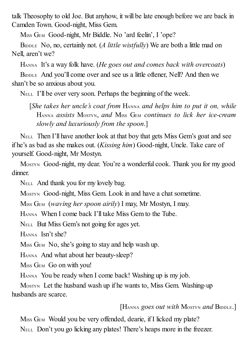talk Theosophy to old Joe. But anyhow, it will be late enough before we are back in Camden Town. Good-night, Miss Gem.

MISS GEM Good-night, Mr Biddle. No 'ard feelin', I 'ope?

BIDDLE No, no, certainly not. (*A little wistfully*) We are both a little mad on Nell, aren't we?

HANNA It's a way folk have. (*He goes out and comes back with overcoats*)

BIDDLE And you'll come over and see us a little oftener, Nell? And then we shan't be so anxious about you.

NELL I'll be over very soon. Perhaps the beginning of the week.

[*She takes her uncle's coat from* HANNA *and helps him to put it on, while* HANNA *assists* MOSTYN, *and* MISS GEM *continues to lick her ice-cream slowly and luxuriously from the spoon*.]

NELL Then I'll have another look at that boy that gets Miss Gem's goat and see if he's as bad as she makes out. (*Kissing him*) Good-night, Uncle. Take care of yourself. Good-night, Mr Mostyn.

MOSTYN Good-night, my dear. You're a wonderful cook. Thank you for my good dinner.

NELL And thank you for my lovely bag.

MOSTYN Good-night, Miss Gem. Look in and have a chat sometime.

MISS GEM (*waving her spoon airily*) I may, Mr Mostyn, I may.

HANNA When I come back I'll take Miss Gem to the Tube.

NELL But Miss Gem's not going for ages yet.

HANNA Isn't she?

M<sub>ISS</sub> G<sub>EM</sub> No, she's going to stay and help wash up.

HANNA And what about her beauty-sleep?

MISS GEM Go on with you!

HANNA You be ready when I come back! Washing up is my job.

MOSTYN Let the husband wash up if he wants to, Miss Gem. Washing-up husbands are scarce.

[HANNA *goes out with* MOSTYN *and* BIDDLE.]

M<sub>ISS</sub> G<sub>EM</sub> Would you be very offended, dearie, if I licked my plate? NELL Don't you go licking any plates! There's heaps more in the freezer.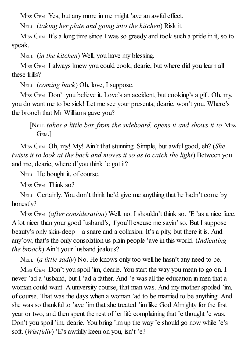M<sub>ISS</sub> G<sub>EM</sub> Yes, but any more in me might 'ave an awful effect.

NELL (*taking her plate and going into the kitchen*) Risk it.

M<sub>ISS</sub> G<sub>EM</sub> It's a long time since I was so greedy and took such a pride in it, so to speak.

NELL (*in the kitchen*) Well, you have my blessing.

M<sub>ISS</sub> G<sub>EM</sub> I always knew you could cook, dearie, but where did you learn all these frills?

NELL (*coming back*) Oh, love, I suppose.

M<sub>ISS</sub> G<sub>EM</sub> Don't you believe it. Love's an accident, but cooking's a gift. Oh, my, you do want me to be sick! Let me see your presents, dearie, won't you. Where's the brooch that Mr Williams gave you?

[NELL *takes a little box from the sideboard, opens it and shows it to* MISS GEM.]

MISS GEM Oh, my! My! Ain't that stunning. Simple, but awful good, eh? (*She twists it to look at the back and moves it so as to catch the light*) Between you and me, dearie, where d'you think 'e got it?

NELL He bought it, of course.

M<sub>ISS</sub> G<sub>EM</sub> Think so?

NELL Certainly. You don't think he'd give me anything that he hadn't come by honestly?

M<sub>ISS</sub> G<sub>EM</sub> (*after consideration*) Well, no. I shouldn't think so. 'E 'as a nice face. A lot nicer than your good 'usband's, if you'll excuse me sayin'so. But I suppose beauty's only skin-deep—a snare and a collusion. It's a pity, but there it is. And any'ow, that's the only consolation us plain people 'ave in this world. (*Indicating the brooch*) Ain't your 'usband jealous?

NELL (*a little sadly*) No. He knows only too well he hasn't any need to be.

M<sub>ISS</sub> G<sub>EM</sub> Don't you spoil 'im, dearie. You start the way you mean to go on. I never 'ad a 'usband, but I 'ad a father. And 'e was all the education in men that a woman could want. A university course, that man was. And my mother spoiled 'im, of course. That was the days when a woman 'ad to be married to be anything. And she was so thankful to 'ave 'im that she treated 'im like God Almighty for the first year or two, and then spent the rest of 'er life complaining that 'e thought 'e was. Don't you spoil'im, dearie. You bring 'im up the way 'e should go now while 'e's soft. (*Wistfully*) 'E's awfully keen on you, isn't 'e?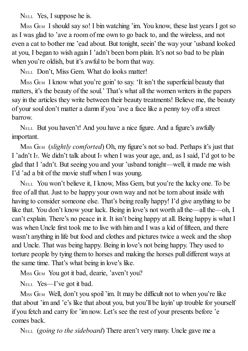NELL Yes, I suppose he is.

MISS GEM I should say so! I bin watching 'im. You know, these last years I got so as I was glad to 'ave a room of me own to go back to, and the wireless, and not even a cat to bother me 'ead about. But tonight, seein' the way your 'usband looked at you, I began to wish again I 'adn't been born plain. It's not so bad to be plain when you're oldish, but it's awful to be born that way.

NELL Don't, Miss Gem. What do looks matter!

M<sub>ISS</sub> G<sub>EM</sub> I know what you're goin' to say. 'It isn't the superficial beauty that matters, it's the beauty of the soul.' That's what all the women writers in the papers say in the articles they write between their beauty treatments! Believe me, the beauty of your soul don't matter a damn if you 'ave a face like a penny toy off a street barrow.

NELL But you haven't! And you have a nice figure. And a figure's awfully important.

MISS GEM (*slightly comforted*) Oh, my figure's not so bad. Perhaps it's just that I 'adn't I<sub>T</sub>. We didn't talk about I<sub>T</sub> when I was your age, and, as I said, I'd got to be glad that I 'adn't. But seeing you and your 'usband tonight—well, it made me wish I'd 'ad a bit of the movie stuff when I was young.

NELL You won't believe it, I know, Miss Gem, but you're the lucky one. To be free of all that. Just to be happy your own way and not be torn about inside with having to consider someone else. That's being really happy! I'd give anything to be like that. You don't know your luck. Being in love's not worth all the—all the—oh, I can't explain. There's no peace in it. It isn't being happy at all. Being happy is what I was when Uncle first took me to live with him and I was a kid of fifteen, and there wasn't anything in life but food and clothes and pictures twice a week and the shop and Uncle. That was being happy. Being in love's not being happy. They used to torture people by tying them to horses and making the horses pull different ways at the same time. That's what being in love's like.

MISS GEM You got it bad, dearie, 'aven't you?

NELL Yes—I've got it bad.

M<sub>ISS</sub> G<sub>EM</sub> Well, don't you spoil 'im. It may be difficult not to when you're like that about 'im and 'e's like that about you, but you'll be layin' up trouble for yourself if you fetch and carry for 'im now. Let's see the rest of your presents before 'e comes back.

NELL (*going to the sideboard*) There aren't very many. Uncle gave me a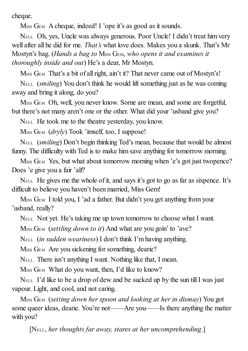cheque.

M<sub>ISS</sub> G<sub>EM</sub> A cheque, indeed! I 'ope it's as good as it sounds.

NELL Oh, yes, Uncle was always generous. Poor Uncle! I didn't treat him very well after all he did for me. *That's* what love does. Makes you a skunk. That's Mr Mostyn's bag. (*Hands a bag to* MISS GEM, *who opens it and examines it thoroughly inside and out*) He's a dear, Mr Mostyn.

M<sub>ISS</sub> G<sub>EM</sub> That's a bit of all right, ain't it? That never came out of Mostyn's!

NELL (*smiling*) You don't think he would lift something just as he was coming away and bring it along, do you?

MISS GEM Oh, well, you never know. Some are mean, and some are forgetful, but there's not many aren't one or the other. What did your 'usband give you?

NELL He took me to the theatre yesterday, you know.

MISS G<sub>EM</sub> (*dryly*) Took 'imself, too, I suppose!

NELL (*smiling*) Don't begin thinking Ted's mean, because that would be almost funny. The difficulty with Ted is to make him save anything for tomorrow morning.

M<sub>ISS</sub> G<sub>EM</sub> Yes, but what about tomorrow morning when 'e's got just twopence? Does 'e give you a fair 'alf?

NELL He gives me the whole of it, and says it's got to go as far as sixpence. It's difficult to believe you haven't been married, Miss Gem!

M<sub>ISS</sub> G<sub>EM</sub> I told you, I 'ad a father. But didn't you get anything from your 'usband, really?

NELL Not yet. He's taking me up town tomorrow to choose what I want.

MISS GEM (*settling down to it*) And what are you goin' to 'ave?

NELL (*in sudden weariness*) I don't think I'm having anything.

MISS GEM Are you sickening for something, dearie?

NELL There isn't anything I want. Nothing like that, I mean.

M<sub>ISS</sub> G<sub>EM</sub> What do you want, then, I'd like to know?

NELL I'd like to be a drop of dew and be sucked up by the sun tillI was just vapour. Light, and cool, and not caring.

MISS GEM (*setting down her spoon and looking at her in dismay*) You got some queer ideas, dearie. You're not——Are you——Is there anything the matter with you?

[NELL, *her thoughts far away, stares at her uncomprehending*.]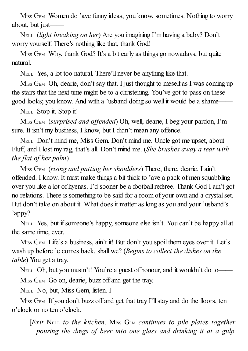M<sub>ISS</sub> G<sub>EM</sub> Women do 'ave funny ideas, you know, sometimes. Nothing to worry about, but just——

NELL (*light breaking on her*) Are you imagining I'm having a baby? Don't worry yourself. There's nothing like that, thank God!

M<sub>ISS</sub> G<sub>EM</sub> Why, thank God? It's a bit early as things go nowadays, but quite natural.

NELL Yes, a lot too natural. There'll never be anything like that.

M<sub>ISS</sub> G<sub>EM</sub> Oh, dearie, don't say that. I just thought to meself as I was coming up the stairs that the next time might be to a christening. You've got to pass on these good looks; you know. And with a 'usband doing so well it would be a shame——

NELL Stop it. Stop it!

MISS GEM (*surprised and of ended*) Oh, well, dearie, I beg your pardon, I'm sure. It isn't my business, I know, but I didn't mean any offence.

NELL Don't mind me, Miss Gem. Don't mind me. Uncle got me upset, about Fluff, and I lost my rag, that's all. Don't mind me. (*She brushes away a tear with the flat of her palm*)

MISS GEM (*rising and patting her shoulders*) There, there, dearie. I ain't offended. I know. It must make things a bit thick to 'ave a pack of men squabbling over you like a lot of hyenas. I'd sooner be a footballreferee. Thank God I ain't got no relations. There is something to be said for a room of your own and a crystalset. But don't take on about it. What does it matter as long as you and your 'usband's 'appy?

NELL Yes, but ifsomeone's happy, someone else isn't. You can't be happy all at the same time, ever.

M<sub>ISS</sub> G<sub>EM</sub> Life's a business, ain't it! But don't you spoil them eyes over it. Let's wash up before 'e comes back, shall we? (*Begins to collect the dishes on the table*) You get a tray.

NELL Oh, but you mustn't! You're a guest of honour, and it wouldn't do to—— MISS GEM Go on, dearie, buzz off and get the tray.

NELL No, but, Miss Gem, listen. I——

M<sub>ISS</sub> G<sub>EM</sub> If you don't buzz off and get that tray I'll stay and do the floors, ten o'clock or no ten o'clock.

[*Exit* NELL *to the kitchen*. MISS GEM *continues to pile plates together, pouring the dregs of beer into one glass and drinking it at a gulp.*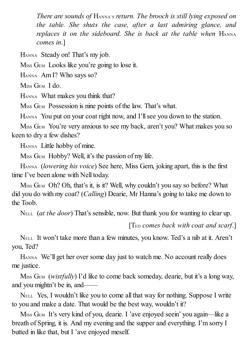*There are sounds of* HANNA'S *return. The brooch is still lying exposed on the table. She shuts the case, after a last admiring glance, and replaces it on the sideboard. She is back at the table when* HANNA *comes in*.]

HANNA Steady on! That's my job.

M<sub>ISS</sub> G<sub>EM</sub> Looks like you're going to lose it.

HANNA Am I? Who says so?

M<sub>ISS</sub> G<sub>EM</sub> I do.

HANNA What makes you think that?

M<sub>ISS</sub> G<sub>EM</sub> Possession is nine points of the law. That's what.

HANNA You put on your coat right now, and I'll see you down to the station.

M<sub>ISS</sub> G<sub>EM</sub> You're very anxious to see my back, aren't you? What makes you so keen to dry a few dishes?

HANNA Little hobby of mine.

M<sub>ISS</sub> G<sub>EM</sub> Hobby? Well, it's the passion of my life.

HANNA (*lowering his voice*) See here, Miss Gem, joking apart, this is the first time I've been alone with Nell today.

M<sub>ISS</sub> G<sub>EM</sub> Oh? Oh, that's it, is it? Well, why couldn't you say so before? What did you do with my coat? (*Calling*) Dearie, Mr Hanna's going to take me down to the Toob.

NELL (*at the door*) That's sensible, now. But thank you for wanting to clear up.

## [TED *comes back with coat and scarf*.]

NELL It won't take more than a few minutes, you know. Ted's a nib at it. Aren't you, Ted?

HANNA We'll get her over some day just to watch me. No account really does me justice.

M<sub>ISS</sub> G<sub>EM</sub> (*wistfully*) I'd like to come back someday, dearie, but it's a long way, and you mightn't be in, and——

NELL Yes, I wouldn't like you to come all that way for nothing. Suppose I write to you and make a date. That would be the best way, wouldn't it?

MISS GEM It's very kind of you, dearie. I 'ave enjoyed seein' you again—like a breath of Spring, it is. And my evening and the supper and everything. I'm sorry I butted in like that, but I 'ave enjoyed meself.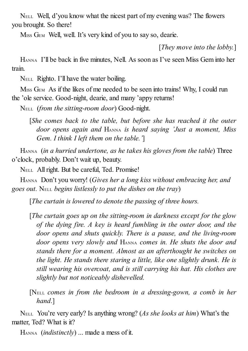NELL Well, d'you know what the nicest part of my evening was? The flowers you brought. So there!

MISS GEM Well, well. It's very kind of you to say so, dearie.

[*They move into the lobby.*]

HANNA I'll be back in five minutes, Nell. As soon as I've seen Miss Gem into her train.

NELL Righto. I'll have the water boiling.

M<sub>ISS</sub> G<sub>EM</sub> As if the likes of me needed to be seen into trains! Why, I could run the 'ole service. Good-night, dearie, and many 'appy returns!

NELL (*from the sitting-room door*) Good-night.

[*She comes back to the table, but before she has reached it the outer door opens again and* HANNA *is heard saying 'Just a moment, Miss Gem. I think I left them on the table.'*]

HANNA (*in a hurried undertone, as he takes his gloves from the table*) Three o'clock, probably. Don't wait up, beauty.

NELL Allright. But be careful, Ted. Promise!

HANNA Don't you worry! (*Gives her a long kiss without embracing her, and goes out.* NELL *begins listlessly to put the dishes on the tray*)

[*The curtain is lowered to denote the passing of three hours.*

[*The curtain goes up on the sitting-room in darkness except for the glow of the dying fire. A key is heard fumbling in the outer door, and the door opens and shuts quickly. There is a pause, and the living-room door opens very slowly and* HANNA *comes in. He shuts the door and stands there for a moment. Almost as an afterthought he switches on the light. He stands there staring a little, like one slightly drunk. He is still wearing his overcoat, and is still carrying his hat. His clothes are slightly but not noticeably dishevelled.*

[NELL *comes in from the bedroom in a dressing-gown, a comb in her hand*.]

NELL You're very early? Is anything wrong? (*As she looks at him*) What's the matter, Ted? What is it?

HANNA (*indistinctly*) ... made a mess of it.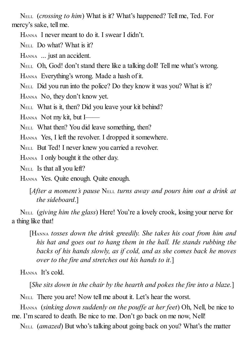NELL (*crossing to him*) What is it? What's happened? Tell me, Ted. For mercy's sake, tell me.

HANNA I never meant to do it. I swear I didn't.

NELL Do what? What is it?

HANNA ... just an accident.

NELL Oh, God! don't stand there like a talking doll! Tell me what's wrong.

HANNA Everything's wrong. Made a hash of it.

NELL Did you run into the police? Do they know it was you? What is it?

HANNA No, they don't know yet.

NELL What is it, then? Did you leave your kit behind?

HANNA Not my kit, but I——

NELL What then? You did leave something, then?

HANNA Yes, I left the revolver. I dropped it somewhere.

NELL But Ted! I never knew you carried a revolver.

HANNA I only bought it the other day.

NELL Is that all you left?

HANNA Yes. Quite enough. Quite enough.

[*After a moment's pause* NELL *turns away and pours him out a drink at the sideboard*.]

NELL (*giving him the glass*) Here! You're a lovely crook, losing your nerve for a thing like that!

[HANNA *tosses down the drink greedily. She takes his coat from him and his hat and goes out to hang them in the hall. He stands rubbing the backs of his hands slowly, as if cold, and as she comes back he moves over to the fire and stretches out his hands to it.*]

HANNA It's cold.

[*She sits down in the chair by the hearth and pokes the fire into a blaze.*]

NELL There you are! Now tell me about it. Let's hear the worst.

HANNA (*sinking down suddenly on the pouf e at her feet*) Oh, Nell, be nice to me. I'm scared to death. Be nice to me. Don't go back on me now, Nell!

NELL (*amazed*) But who's talking about going back on you? What's the matter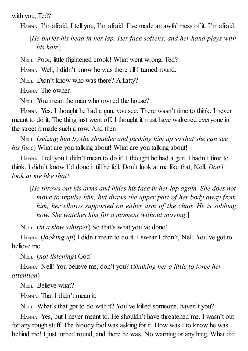with you, Ted?

HANNA I'm afraid, I tell you, I'm afraid. I've made an awful mess of it. I'm afraid.

[*He buries his head in her lap. Her face softens, and her hand plays with his hair.*]

NELL Poor, little frightened crook! What went wrong, Ted?

HANNA Well, I didn't know he was there till I turned round.

NELL Didn't know who was there? A flatty?

HANNA The owner.

NELL You mean the man who owned the house?

HANNA Yes. I thought he had a gun, you see. There wasn't time to think. I never meant to do it. The thing just went off. I thought it must have wakened everyone in the street it made such a row. And then-

NELL (*seizing him by the shoulder and pushing him up so that she can see his face*) What are you talking about! What are you talking about!

HANNA I tell you I didn't mean to do it! I thought he had a gun. I hadn't time to think. I didn't know I'd done it till he fell. Don't look at me like that, Nell. *Don't look at me like that!*

[*He throws out his arms and hides his face in her lap again. She does not move to repulse him, but draws the upper part of her body away from him, her elbows supported on either arm of the chair. He is sobbing now. She watches him for a moment without moving.*]

NELL (*in a slow whisper*) So that's what you've done!

HANNA (*looking up*) I didn't mean to do it. I swear I didn't, Nell. You've got to believe me.

NELL (*not listening*) God!

HANNA Nell! You believe me, don't you? (*Shaking her a little to force her attention*)

N<sub>ELL</sub> Believe what?

HANNA That I didn't mean it.

NELL What's that got to do with it? You've killed someone, haven't you?

HANNA Yes, but I never meant to. He shouldn't have threatened me. I wasn't out for any rough stuff. The bloody fool was asking for it. How was I to know he was behind me! I just turned round, and there he was. No warning or anything. What did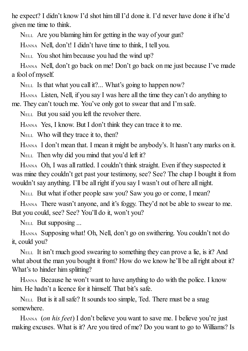he expect? I didn't know I'd shot him till I'd done it. I'd never have done it if he'd given me time to think.

NELL Are you blaming him for getting in the way of your gun?

HANNA Nell, don't! I didn't have time to think, I tell you.

NELL You shot him because you had the wind up?

HANNA Nell, don't go back on me! Don't go back on me just because I've made a fool of myself.

NELL Is that what you call it?... What's going to happen now?

HANNA Listen, Nell, if you say I was here all the time they can't do anything to me. They can't touch me. You've only got to swear that and I'm safe.

NELL But you said you left the revolver there.

HANNA Yes, I know. But I don't think they can trace it to me.

NELL Who will they trace it to, then?

HANNA I don't mean that. I mean it might be anybody's. It hasn't any marks on it. NELL Then why did you mind that you'd left it?

HANNA Oh, I was all rattled. I couldn't think straight. Even if they suspected it was mine they couldn't get past your testimony, see? See? The chap I bought it from wouldn't say anything. I'll be all right if you say I wasn't out of here all night.

NELL But what if other people saw you? Saw you go or come, I mean?

HANNA There wasn't anyone, and it's foggy. They'd not be able to swear to me. But you could, see? See? You'll do it, won't you?

NELL But supposing ...

HANNA Supposing what! Oh, Nell, don't go on swithering. You couldn't not do it, could you?

NELL It isn't much good swearing to something they can prove a lie, is it? And what about the man you bought it from? How do we know he'll be all right about it? What's to hinder him splitting?

HANNA Because he won't want to have anything to do with the police. I know him. He hadn't a licence for it himself. That bit's safe.

NELL But is it allsafe? It sounds too simple, Ted. There must be a snag somewhere.

HANNA (*on his feet*) I don't believe you want to save me. I believe you're just making excuses. What is it? Are you tired of me? Do you want to go to Williams? Is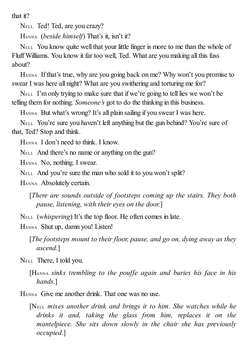that it?

NELL Ted! Ted, are you crazy?

HANNA (*beside himself*) That's it, isn't it?

NELL You know quite well that your little finger is more to me than the whole of Fluff Williams. You know it far too well, Ted. What are you making all this fuss about?

HANNA If that's true, why are you going back on me? Why won't you promise to swear I was here all night? What are you swithering and torturing me for?

NELL I'm only trying to make sure that if we're going to tell lies we won't be telling them for nothing. *Someone's* got to do the thinking in this business.

HANNA But what's wrong? It's all plain sailing if you swear I was here.

NELL You're sure you haven't left anything but the gun behind? You're sure of that, Ted? Stop and think.

HANNA I don't need to think. I know.

NELL And there's no name or anything on the gun?

HANNA No, nothing. I swear.

NELL And you're sure the man who sold it to you won't split?

HANNA Absolutely certain.

[*There are sounds outside of footsteps coming up the stairs. They both pause, listening, with their eyes on the door.*]

NELL (*whispering*) It's the top floor. He often comes in late.

HANNA Shut up, damn you! Listen!

[*The footsteps mount to their floor, pause, and go on, dying away as they ascend.*]

NELL There, I told you.

[HANNA *sinks trembling to the pouf e again and buries his face in his hands*.]

HANNA Give me another drink. That one was no use.

[NELL *mixes another drink and brings it to him. She watches while he drinks it and, taking the glass from him, replaces it on the mantelpiece. She sits down slowly in the chair she has previously occupied.*]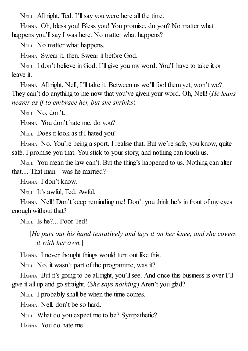NELL All right, Ted. I'll say you were here all the time.

HANNA Oh, bless you! Bless you! You promise, do you? No matter what happens you'll say I was here. No matter what happens?

NELL No matter what happens.

HANNA Swear it, then. Swear it before God.

NELL I don't believe in God. I'll give you my word. You'll have to take it or leave it.

HANNA All right, Nell, I'll take it. Between us we'll fool them yet, won't we? They can't do anything to me now that you've given your word. Oh, Nell! (*He leans nearer as if to embrace her, but she shrinks*)

NELL No, don't.

HANNA You don't hate me, do you?

NELL Does it look as if I hated you!

HANNA No. You're being a sport. I realise that. But we're safe, you know, quite safe. I promise you that. You stick to your story, and nothing can touch us.

NELL You mean the law can't. But the thing's happened to us. Nothing can alter that.... That man—was he married?

HANNA I don't know.

NELL It's awful, Ted. Awful.

HANNA Nell! Don't keep reminding me! Don't you think he's in front of my eyes enough without that?

NELL Is he?... Poor Ted!

[*He puts out his hand tentatively and lays it on her knee, and she covers it with her own.*]

HANNA I never thought things would turn out like this.

NELL No, it wasn't part of the programme, was it?

HANNA But it's going to be all right, you'll see. And once this business is over I'll give it all up and go straight. (*She says nothing*) Aren't you glad?

NELL I probably shall be when the time comes.

HANNA Nell, don't be so hard.

NELL What do you expect me to be? Sympathetic?

HANNA You do hate me!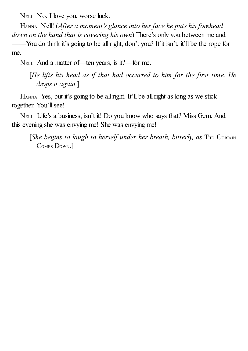NELL No, I love you, worse luck.

HANNA Nell! (*After a moment's glance into her face he puts his forehead down on the hand that is covering his own*) There's only you between me and

——You do think it's going to be allright, don't you? If it isn't, it'll be the rope for me.

NELL And a matter of—ten years, is it?—for me.

[*He lifts his head as if that had occurred to him for the first time. He drops it again.*]

HANNA Yes, but it's going to be all right. It'll be all right as long as we stick together. You'll see!

NELL Life's a business, isn't it! Do you know who says that? Miss Gem. And this evening she was envying me! She was envying me!

[*She begins to laugh to herself under her breath, bitterly, as* THE CURTAIN COMES DOWN.]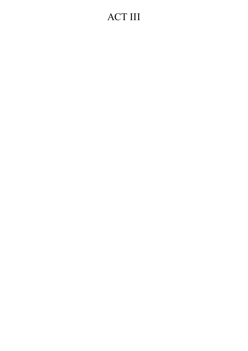# ACT III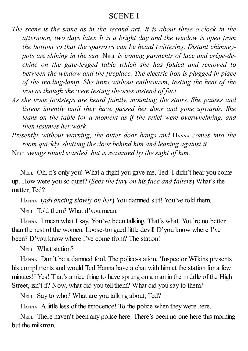## SCENE I

- *The scene is the same as in the second act. It is about three o'clock in the afternoon, two days later. It is a bright day and the window is open from the bottom so that the sparrows can be heard twittering. Distant chimneypots are shining in the sun.* NELL *is ironing garments of lace and crêpe-dechine on the gate-legged table which she has folded and removed to between the window and the fireplace. The electric iron is plugged in place of the reading-lamp. She irons without enthusiasm, testing the heat of the iron as though she were testing theories instead of fact.*
- *As she irons footsteps are heard faintly, mounting the stairs. She pauses and listens intently until they have passed her door and gone upwards. She leans on the table for a moment as if the relief were overwhelming, and then resumes her work.*
- *Presently, without warning, the outer door bangs and* HANNA *comes into the room quickly, shutting the door behind him and leaning against it*.

NELL *swings round startled, but is reassured by the sight of him*.

NELL Oh, it's only you! What a fright you gave me, Ted. I didn't hear you come up. How were you so quiet? (*Sees the fury on his face and falters*) What's the matter, Ted?

HANNA (*advancing slowly on her*) You damned slut! You've told them.

NELL Told them? What d'you mean.

HANNA I mean what I say. You've been talking. That's what. You're no better than the rest of the women. Loose-tongued little devil! D'you know where I've been? D'you know where I've come from? The station!

N<sub>ELL</sub> What station?

HANNA Don't be a damned fool. The police-station. 'Inspector Wilkins presents his compliments and would Ted Hanna have a chat with him at the station for a few minutes!' Yes! That's a nice thing to have sprung on a man in the middle of the High Street, isn't it? Now, what did you tell them? What did you say to them?

NELL Say to who? What are you talking about, Ted?

HANNA A little less of the innocence! To the police when they were here.

NELL There haven't been any police here. There's been no one here this morning but the milkman.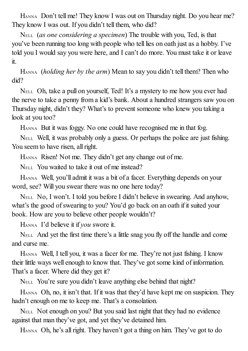HANNA Don't tell me! They know I was out on Thursday night. Do you hear me? They know I was out. If you didn't tell them, who did?

NELL (*as one considering a specimen*) The trouble with you, Ted, is that you've been running too long with people who tell lies on oath just as a hobby. I've told you I would say you were here, and I can't do more. You must take it or leave it.

HANNA (*holding her by the arm*) Mean to say you didn't tell them? Then who did?

NELL Oh, take a pull on yourself, Ted! It's a mystery to me how you ever had the nerve to take a penny from a kid's bank. About a hundred strangers saw you on Thursday night, didn't they? What's to prevent someone who knew you taking a look at you too?

HANNA But it was foggy. No one could have recognised me in that fog.

NELL Well, it was probably only a guess. Or perhaps the police are just fishing. You seem to have risen, all right.

HANNA Risen! Not me. They didn't get any change out of me.

NELL You waited to take it out of me instead?

HANNA Well, you'll admit it was a bit of a facer. Everything depends on your word, see? Will you swear there was no one here today?

NELL No, I won't. I told you before I didn't believe in swearing. And anyhow, what's the good of swearing to you? You'd go back on an oath if it suited your book. How are you to believe other people wouldn't?

HANNA I'd believe it if *you* swore it.

NELL And yet the first time there's a little snag you fly off the handle and come and curse me.

HANNA Well, I tell you, it was a facer for me. They're not just fishing. I know their little ways well enough to know that. They've got some kind of information. That's a facer. Where did they get it?

NELL You're sure you didn't leave anything else behind that night?

HANNA Oh, no, it isn't that. If it was that they'd have kept me on suspicion. They hadn't enough on me to keep me. That's a consolation.

NELL Not enough on you? But you said last night that they had no evidence against that man they've got, and yet they've detained him.

HANNA Oh, he's all right. They haven't got a thing on him. They've got to do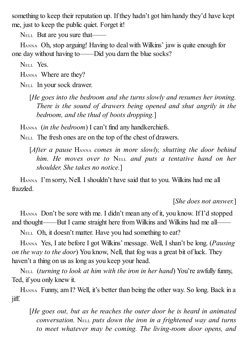something to keep their reputation up. If they hadn't got him handy they'd have kept me, just to keep the public quiet. Forget it!

NELL But are you sure that——

HANNA Oh, stop arguing! Having to deal with Wilkins' jaw is quite enough for one day without having to——Did you darn the blue socks?

NELL Yes.

HANNA Where are they?

NELL In your sock drawer.

[*He goes into the bedroom and she turns slowly and resumes her ironing. There is the sound of drawers being opened and shut angrily in the bedroom, and the thud of boots dropping.*]

HANNA (*in the bedroom*) I can't find any handkerchiefs.

NELL The fresh ones are on the top of the chest of drawers.

[*After a pause* HANNA *comes in more slowly, shutting the door behind him. He moves over to* NELL *and puts a tentative hand on her shoulder. She takes no notice.*]

HANNA I'm sorry, Nell. I shouldn't have said that to you. Wilkins had me all frazzled.

[*She does not answer.*]

HANNA Don't be sore with me. I didn't mean any of it, you know. If I'd stopped and thought——But I came straight here from Wilkins and Wilkins had me all——

NELL Oh, it doesn't matter. Have you had something to eat?

HANNA Yes, I ate before I got Wilkins' message. Well, I shan't be long. (*Pausing on the way to the door*) You know, Nell, that fog was a great bit of luck. They haven't a thing on us as long as you keep your head.

NELL (*turning to look at him with the iron in her hand*) You're awfully funny, Ted, if you only knew it.

HANNA Funny, am I? Well, it's better than being the other way. So long. Back in a jiff.

[*He goes out, but as he reaches the outer door he is heard in animated conversation.* NELL *puts down the iron in a frightened way and turns to meet whatever may be coming. The living-room door opens, and*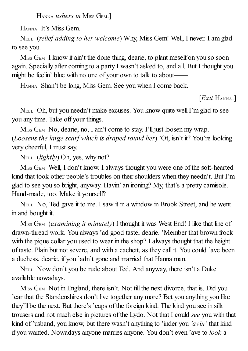HANNA *ushers in* MISS GEM.]

HANNA It's Miss Gem.

NELL (*relief adding to her welcome*) Why, Miss Gem! Well, I never. I am glad to see you.

M<sub>ISS</sub> G<sub>EM</sub> I know it ain't the done thing, dearie, to plant meself on you so soon again. Specially after coming to a party I wasn't asked to, and all. But I thought you might be feelin' blue with no one of your own to talk to about——

HANNA Shan't be long, Miss Gem. See you when I come back.

[*Exit* HANNA.]

NELL Oh, but you needn't make excuses. You know quite wellI'm glad to see you any time. Take off your things.

M<sub>ISS</sub> G<sub>EM</sub> No, dearie, no, I ain't come to stay. I'll just loosen my wrap. (*Loosens the large scarf which is draped round her*) 'Ot, isn't it? You're looking very cheerful, I must say.

NELL (*lightly*) Oh, yes, why not?

MISS GEM Well, I don't know. I always thought you were one of the soft-hearted kind that took other people's troubles on their shoulders when they needn't. But I'm glad to see you so bright, anyway. Havin' an ironing? My, that's a pretty camisole. Hand-made, too. Make it yourself?

NELL No, Ted gave it to me. I saw it in a window in Brook Street, and he went in and bought it.

MISS GEM (*examining it minutely*) I thought it was West End! I like that line of drawn-thread work. You always 'ad good taste, dearie. 'Member that brown frock with the pique collar you used to wear in the shop? I always thought that the height of taste. Plain but not severe, and with a cachett, as they call it. You could 'ave been a duchess, dearie, if you 'adn't gone and married that Hanna man.

NELL Now don't you be rude about Ted. And anyway, there isn't a Duke available nowadays.

M<sub>ISS</sub> G<sub>EM</sub> Not in England, there isn't. Not till the next divorce, that is. Did you 'ear that the Standenshires don't live together any more? Bet you anything you like they'll be the next. But there's 'eaps of the foreign kind. The kind you see in silk trousers and not much else in pictures of the Lydo. Not that I could *see* you with that kind of 'usband, you know, but there wasn't anything to 'inder you *'avin'* that kind if you wanted. Nowadays anyone marries anyone. You don't even 'ave to *look* a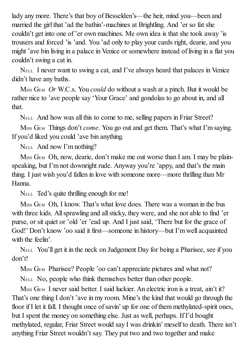lady any more. There's that boy of Besselden's—the heir, mind you—been and married the girl that 'ad the bathin'-machines at Brightling. And 'er so fat she couldn't get into one of 'er own machines. Me own idea is that she took away 'is trousers and forced 'is 'and. You 'ad only to play your cards right, dearie, and you might 'ave bin living in a palace in Venice or somewhere instead of living in a flat you couldn't swing a cat in.

NELL I never want to swing a cat, and I've always heard that palaces in Venice didn't have any baths.

MISS GEM *Or* W.C.s. You *could* do without a wash at a pinch. But it would be rather nice to 'ave people say 'Your Grace' and gondolas to go about in, and all that.

NELL And how was all this to come to me, selling papers in Friar Street?

MISS GEM Things don't *come*. You go out and get them. That's what I'm saying. If you'd liked you could 'ave bin anything.

NELL And now I'm nothing?

M<sub>ISS</sub> G<sub>EM</sub> Oh, now, dearie, don't make me out worse than I am. I may be plainspeaking, but I'm not downright rude. Anyway you're 'appy, and that's the main thing. I just wish you'd fallen in love with someone more—more thrilling than Mr Hanna.

NELL Ted's quite thrilling enough for me!

M<sub>ISS</sub> G<sub>EM</sub> Oh, I know. That's what love does. There was a woman in the bus with three kids. All sprawling and all sticky, they were, and she not able to find 'er purse, or sit quiet or 'old 'er 'ead up. And I just said, 'There but for the grace of God!' Don't know 'oo said it first—someone in history—but I'm well acquainted with the feelin'

NELL You'll get it in the neck on Judgement Day for being a Pharisee, see if you don't!

M<sub>ISS</sub> G<sub>EM</sub> Pharisee? People 'oo can't appreciate pictures and what not?

NELL No, people who think themselves better than other people.

M<sub>ISS</sub> G<sub>EM</sub> I never said better. I said luckier. An electric iron is a treat, ain't it? That's one thing I don't 'ave in my room. Mine's the kind that would go through the floor if I let it fall. I thought once of savin' up for one of them methylated-spirit ones, but I spent the money on something else. Just as well, perhaps. If I'd bought methylated, regular, Friar Street would say I was drinkin' meself to death. There isn't anything Friar Street wouldn't say. They put two and two together and make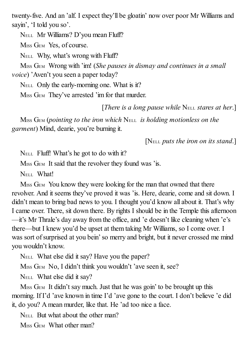twenty-five. And an 'alf. I expect they'll be gloatin' now over poor Mr Williams and sayin', 'I told you so'.

NELL Mr Williams? D'you mean Fluff?

MISS GEM Yes, of course.

NELL Why, what's wrong with Fluff?

MISS GEM Wrong with 'im! (*She pauses in dismay and continues in a small voice*) 'Aven't you seen a paper today?

NELL Only the early-morning one. What is it?

M<sub>ISS</sub> G<sub>EM</sub> They've arrested 'im for that murder.

[*There is a long pause while* NELL *stares at her*.]

MISS GEM (*pointing to the iron which* NELL *is holding motionless on the garment*) Mind, dearie, you're burning it.

[NELL *puts the iron on its stand*.]

NELL Fluff! What's he got to do with it?

M<sub>ISS</sub> G<sub>EM</sub> It said that the revolver they found was 'is.

NELL What!

M<sub>ISS</sub> G<sub>EM</sub> You know they were looking for the man that owned that there revolver. And it seems they've proved it was 'is. Here, dearie, come and sit down. I didn't mean to bring bad news to you. I thought you'd know all about it. That's why I came over. There, sit down there. By rights I should be in the Temple this afternoon —it's Mr Thrale's day away from the office, and 'e doesn't like cleaning when 'e's there—but I knew you'd be upset at them taking Mr Williams, so I come over. I was sort of surprised at you bein's o merry and bright, but it never crossed me mind you wouldn't know.

NELL What else did it say? Have you the paper?

MISS GEM No, I didn't think you wouldn't 'ave seen it, see?

NELL What else did it say?

M<sub>ISS</sub> G<sub>EM</sub> It didn't say much. Just that he was goin' to be brought up this morning. If I'd 'ave known in time I'd 'ave gone to the court. I don't believe 'e did it, do you? Amean murder, like that. He 'ad too nice a face.

N<sub>ELL</sub> But what about the other man?

M<sub>ISS</sub> G<sub>EM</sub> What other man?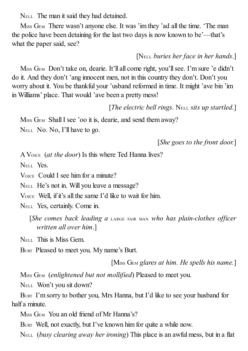NELL The man it said they had detained.

MISS GEM There wasn't anyone else. It was 'im they 'ad all the time. 'The man the police have been detaining for the last two days is now known to be'—that's what the paper said, see?

[NELL *buries her face in her hands*.]

M<sub>ISS</sub> G<sub>EM</sub> Don't take on, dearie. It'll all come right, you'll see. I'm sure 'e didn't do it. And they don't 'ang innocent men, not in this country they don't. Don't you worry about it. You be thankful your 'usband reformed in time. It might 'ave bin 'im in Williams' place. That would 'ave been a pretty mess!

[*The electric bell rings.* NELL *sits up startled*.]

M<sub>ISS</sub> G<sub>EM</sub> Shall I see 'oo it is, dearie, and send them away? NELL No. No, I'll have to go.

[*She goes to the front door.*]

A VOICE (*at the door*) Is this where Ted Hanna lives?

NELL Yes.

VOICE Could I see him for a minute?

NELL He's not in. Will you leave a message?

VOICE Well, if it's all the same I'd like to wait for him.

NELL Yes, certainly. Come in.

[*She comes back leading a* LARGE FAIR MAN *who has plain-clothes of icer written all over him*.]

NELL This is Miss Gem.

BURT Pleased to meet you. My name's Burt.

[MISS GEM *glares at him. He spells his name.*]

MISS GEM (*enlightened but not mollified*) Pleased to meet you.

NELL Won't you sit down?

BURT I'm sorry to bother you, Mrs Hanna, but I'd like to see your husband for half a minute.

M<sub>ISS</sub> G<sub>EM</sub> You an old friend of Mr Hanna's?

BURT Well, not exactly, but I've known him for quite a while now.

NELL (*busy clearing away her ironing*) This place is an awful mess, but in a flat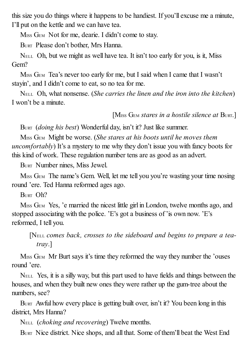this size you do things where it happens to be handiest. If you'll excuse me a minute, I'll put on the kettle and we can have tea.

MISS GEM Not for me, dearie. I didn't come to stay.

BURT Please don't bother, Mrs Hanna.

NELL Oh, but we might as well have tea. It isn't too early for you, is it, Miss Gem?

MISS GEM Tea's never too early for me, but I said when I came that I wasn't stayin', and I didn't come to eat, so no tea for me.

NELL Oh, what nonsense. (*She carries the linen and the iron into the kitchen*) I won't be a minute.

[MISS GEM *stares in a hostile silence at* BURT.]

BURT (*doing his best*) Wonderful day, isn't it? Just like summer.

MISS GEM Might be worse. (*She stares at his boots until he moves them uncomfortably*) It's a mystery to me why they don't issue you with fancy boots for this kind of work. These regulation number tens are as good as an advert.

BURT Number nines, Miss Jewel.

MISS GEM The name's Gem. Well, let me tell you you're wasting your time nosing round 'ere. Ted Hanna reformed ages ago.

BURT Oh?

MISS GEM Yes, 'e married the nicest little girl in London, twelve months ago, and stopped associating with the police. 'E's got a business of 'is own now. 'E's reformed, I tell you.

[NELL *comes back, crosses to the sideboard and begins to prepare a teatray*.]

M<sub>ISS</sub> G<sub>EM</sub> Mr Burt says it's time they reformed the way they number the 'ouses' round 'ere.

NELL Yes, it is a silly way, but this part used to have fields and things between the houses, and when they built new ones they were rather up the gum-tree about the numbers, see?

BURT Awful how every place is getting built over, isn't it? You been long in this district, Mrs Hanna?

NELL (*choking and recovering*) Twelve months.

BURT Nice district. Nice shops, and all that. Some of them'll beat the West End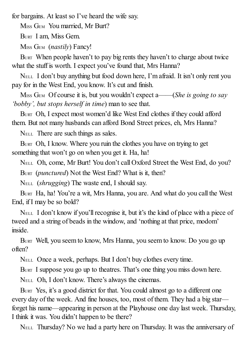for bargains. At least so I've heard the wife say.

MISS GEM You married, Mr Burt?

BURT I am, Miss Gem.

MISS GEM (*nastily*) Fancy!

BURT When people haven't to pay big rents they haven't to charge about twice what the stuff is worth. I expect you've found that, Mrs Hanna?

NELL I don't buy anything but food down here, I'm afraid. It isn't only rent you pay for in the West End, you know. It's cut and finish.

MISS GEM Of course it is, but you wouldn't expect a——(*She is going to say 'bobby', but stops herself in time*) man to see that.

BURT Oh, I expect most women'd like West End clothes if they could afford them. But not many husbands can afford Bond Street prices, eh, Mrs Hanna?

NELL There are such things as sales.

BURT Oh, I know. Where you ruin the clothes you have on trying to get something that won't go on when you get it. Ha, ha!

NELL Oh, come, Mr Burt! You don't call Oxford Street the West End, do you?

BURT (*punctured*) Not the West End? What is it, then?

NELL (*shrugging*) The waste end, I should say.

BURT Ha, ha! You're a wit, Mrs Hanna, you are. And what do you call the West End, if I may be so bold?

N<sub>ELL</sub> I don't know if you'll recognise it, but it's the kind of place with a piece of tweed and a string of beads in the window, and 'nothing at that price, modom' inside.

BURT Well, you seem to know, Mrs Hanna, you seem to know. Do you go up often?

NELL Once a week, perhaps. But I don't buy clothes every time.

BURT I suppose you go up to theatres. That's one thing you miss down here.

NELL Oh, I don't know. There's always the cinemas.

BURT Yes, it's a good district for that. You could almost go to a different one every day of the week. And fine houses, too, most of them. They had a big star forget his name—appearing in person at the Playhouse one day last week. Thursday, I think it was. You didn't happen to be there?

NELL Thursday? No we had a party here on Thursday. It was the anniversary of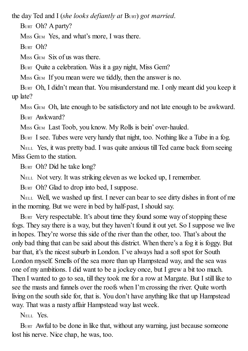the day Ted and I (*she looks defiantly at* BURT) *got married*.

BURT Oh? A party?

M<sub>ISS</sub> G<sub>EM</sub> Yes, and what's more, I was there.

BURT Oh?

M<sub>ISS</sub> G<sub>EM</sub> Six of us was there.

BURT Quite a celebration. Was it a gay night, Miss Gem?

M<sub>ISS</sub> G<sub>EM</sub> If you mean were we tiddly, then the answer is no.

BURT Oh, I didn't mean that. You misunderstand me. I only meant did you keep it up late?

M<sub>ISS</sub> G<sub>EM</sub> Oh, late enough to be satisfactory and not late enough to be awkward. BURT Awkward?

MISS GEM Last Toob, you know. My Rolls is bein' over-hauled.

BURT I see. Tubes were very handy that night, too. Nothing like a Tube in a fog.

NELL Yes, it was pretty bad. I was quite anxious till Ted came back from seeing Miss Gem to the station.

BURT Oh? Did he take long?

NELL Not very. It was striking eleven as we locked up, I remember.

BURT Oh? Glad to drop into bed, I suppose.

NELL Well, we washed up first. I never can bear to see dirty dishes in front of me in the morning. But we were in bed by half-past, I should say.

BURT Very respectable. It's about time they found some way of stopping these fogs. They say there is a way, but they haven't found it out yet. So I suppose we live in hopes. They're worse this side of the river than the other, too. That's about the only bad thing that can be said about this district. When there's a fog it is foggy. But bar that, it's the nicest suburb in London. I've always had a soft spot for South London myself. Smells of the sea more than up Hampstead way, and the sea was one of my ambitions. I did want to be a jockey once, but I grew a bit too much. Then I wanted to go to sea, till they took me for a row at Margate. But I still like to see the masts and funnels over the roofs when I'm crossing the river. Quite worth living on the south side for, that is. You don't have anything like that up Hampstead way. That was a nasty affair Hampstead way last week.

N<sub>ELL</sub> Yes.

BURT Awful to be done in like that, without any warning, just because someone lost his nerve. Nice chap, he was, too.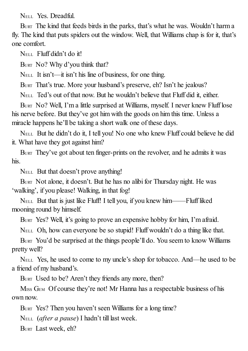NELL Yes. Dreadful.

BURT The kind that feeds birds in the parks, that's what he was. Wouldn't harm a fly. The kind that puts spiders out the window. Well, that Williams chap is for it, that's one comfort.

NELL Fluff didn't do it!

BURT No? Why d'you think that?

NELL It isn't—it isn't his line of business, for one thing.

BURT That's true. More your husband's preserve, eh? Isn't he jealous?

NELL Ted's out of that now. But he wouldn't believe that Fluff did it, either.

BURT NO? Well, I'm a little surprised at Williams, myself. I never knew Fluff lose his nerve before. But they've got him with the goods on him this time. Unless a miracle happens he'll be taking a short walk one of these days.

NELL But he didn't do it, I tell you! No one who knew Fluff could believe he did it. What have they got against him?

BURT They've got about ten finger-prints on the revolver, and he admits it was his.

NELL But that doesn't prove anything!

BURT Not alone, it doesn't. But he has no alibi for Thursday night. He was 'walking', if you please! Walking, in that fog!

NELL But that is just like Fluff! I tell you, if you knew him——Fluff liked mooning round by himself.

BURT Yes? Well, it's going to prove an expensive hobby for him, I'm afraid.

NELL Oh, how can everyone be so stupid! Fluff wouldn't do a thing like that.

BURT You'd be surprised at the things people'll do. You seem to know Williams pretty well?

NELL Yes, he used to come to my uncle's shop for tobacco. And—he used to be a friend of my husband's.

BURT Used to be? Aren't they friends any more, then?

M<sub>ISS</sub> G<sub>EM</sub> Of course they're not! Mr Hanna has a respectable business of his own now.

BURT Yes? Then you haven't seen Williams for a long time?

NELL (*after a pause*) I hadn't till last week.

BURT Last week, eh?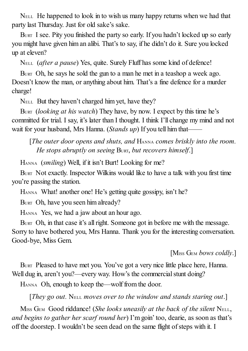NELL He happened to look in to wish us many happy returns when we had that party last Thursday. Just for old sake's sake.

BURT I see. Pity you finished the party so early. If you hadn't locked up so early you might have given him an alibi. That's to say, if he didn't do it. Sure you locked up at eleven?

NELL (*after a pause*) Yes, quite. Surely Fluff has some kind of defence!

BURT Oh, he says he sold the gun to a man he met in a teashop a week ago. Doesn't know the man, or anything about him. That's a fine defence for a murder charge!

NELL But they haven't charged him yet, have they?

BURT (*looking at his watch*) They have, by now. I expect by this time he's committed for trial. I say, it's later than I thought. I think I'll change my mind and not wait for your husband, Mrs Hanna. (*Stands up*) If you tell him that——

[*The outer door opens and shuts, and* HANNA *comes briskly into the room. He stops abruptly on seeing* BURT, *but recovers himself*.]

HANNA (*smiling*) Well, if it isn't Burt! Looking for me?

BURT Not exactly. Inspector Wilkins would like to have a talk with you first time you're passing the station.

HANNA What! another one! He's getting quite gossipy, isn't he?

BURT Oh, have you seen him already?

HANNA Yes, we had a jaw about an hour ago.

BURT Oh, in that case it's all right. Someone got in before me with the message. Sorry to have bothered you, Mrs Hanna. Thank you for the interesting conversation. Good-bye, Miss Gem.

[MISS GEM *bows coldly*.]

BURT Pleased to have met you. You've got a very nice little place here, Hanna. Well dug in, aren't you?—every way. How's the commercial stunt doing?

HANNA Oh, enough to keep the—wolf from the door.

[*They go out.* NELL *moves over to the window and stands staring out*.]

MISS GEM Good riddance! (*She looks uneasily at the back of the silent* NELL, *and begins to gather her scarf round her*) I'm goin' too, dearie, as soon as that's off the doorstep. I wouldn't be seen dead on the same flight of steps with it. I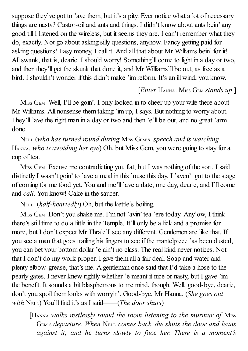suppose they've got to 'ave them, but it's a pity. Ever notice what a lot of necessary things are nasty? Castor-oil and ants and things. I didn't know about ants bein' any good tillI listened on the wireless, but it seems they are. I can't remember what they do, exactly. Not go about asking silly questions, anyhow. Fancy getting paid for asking questions! Easy money, I call it. And all that about Mr Williams bein' for it! Allswank, that is, dearie. I should worry! Something'll come to light in a day or two, and then they'll get the skunk that done it, and Mr Williams'll be out, as free as a bird. I shouldn't wonder if this didn't make 'im reform. It's an ill wind, you know.

#### [*Enter* HANNA. MISS GEM *stands up*.]

M<sub>ISS</sub> G<sub>EM</sub> Well, I'll be goin'. I only looked in to cheer up your wife there about Mr Williams. All nonsense them taking 'im up, I says. But nothing to worry about. They'll'ave the right man in a day or two and then 'e'll be out, and no great 'arm done.

NELL (*who has turned round during* MISS GEM'S *speech and is watching* HANNA, *who is avoiding her eye*) Oh, but Miss Gem, you were going to stay for a cup of tea.

M<sub>ISS</sub> G<sub>EM</sub> Excuse me contradicting you flat, but I was nothing of the sort. I said distinctly I wasn't goin' to 'ave a meal in this 'ouse this day. I 'aven't got to the stage of coming for me food yet. You and me'll'ave a date, one day, dearie, and I'll come and *call*. You know! Cake in the saucer.

NELL (*half-heartedly*) Oh, but the kettle's boiling.

M<sub>ISS</sub> G<sub>EM</sub> Don't you shake me. I'm not 'avin' tea 'ere today. Any'ow, I think there's still time to do a little in the Temple. It'll only be a lick and a promise for more, but I don't expect Mr Thrale'll see any different. Gentlemen are like that. If you see a man that goes trailing his fingers to see if the mantelpiece 'as been dusted, you can bet your bottom dollar 'e ain't no class. The real kind never notices. Not that I don't do my work proper. I give them all a fair deal. Soap and water and plenty elbow-grease, that's me. A gentleman once said that I'd take a hose to the pearly gates. I never knew rightly whether 'e meant it nice or nasty, but I gave 'im the benefit. It sounds a bit blasphemous to me mind, though. Well, good-bye, dearie, don't you spoil them looks with worryin'. Good-bye, Mr Hanna. (*She goes out with* NELL) You'llfind it's as I said——(*The door shuts*)

[HANNA *walks restlessly round the room listening to the murmur of* MISS GEM'S *departure. When* NELL *comes back she shuts the door and leans against it, and he turns slowly to face her. There is a moment's*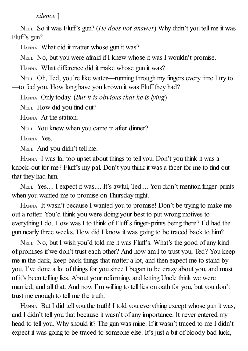*silence.*]

NELL So it was Fluff's gun? (*He does not answer*) Why didn't you tell me it was Fluff's gun?

HANNA What did it matter whose gun it was?

NELL No, but you were afraid if I knew whose it was I wouldn't promise.

HANNA What difference did it make whose gun it was?

NELL Oh, Ted, you're like water—running through my fingers every time I try to —to feel you. How long have you known it was Fluff they had?

HANNA Only today. (*But it is obvious that he is lying*)

NELL How did you find out?

HANNA At the station.

NELL You knew when you came in after dinner?

HANNA Yes.

NELL And you didn't tell me.

HANNA I was far too upset about things to tell you. Don't you think it was a knock-out for me? Fluff's my pal. Don't you think it was a facer for me to find out that they had him.

NELL Yes.... I expect it was.... It's awful, Ted.... You didn't mention finger-prints when you wanted me to promise on Thursday night.

HANNA It wasn't because I wanted you to promise! Don't be trying to make me out a rotter. You'd think you were doing your best to put wrong motives to everything I do. How was I to think of Fluff's finger-prints being there? I'd had the gun nearly three weeks. How did I know it was going to be traced back to him?

NELL No, but I wish you'd told me it was Fluff's. What's the good of any kind of promises if we don't trust each other? And how am I to trust you, Ted? You keep me in the dark, keep back things that matter a lot, and then expect me to stand by you. I've done a lot of things for you since I began to be crazy about you, and most of it's been telling lies. About your reforming, and letting Uncle think we were married, and all that. And now I'm willing to tell lies on oath for you, but you don't trust me enough to tell me the truth.

HANNA But I did tell you the truth! I told you everything except whose gun it was, and I didn't tell you that because it wasn't of any importance. It never entered my head to tell you. Why should it? The gun was mine. If it wasn't traced to me I didn't expect it was going to be traced to someone else. It's just a bit of bloody bad luck,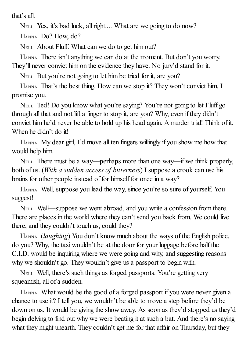that's all.

NELL Yes, it's bad luck, all right.... What are we going to do now?

HANNA Do? How, do?

NELL About Fluff. What can we do to get him out?

HANNA There isn't anything we can do at the moment. But don't you worry. They'll never convict him on the evidence they have. No jury'd stand for it.

NELL But you're not going to let him be tried for it, are you?

HANNA That's the best thing. How can we stop it? They won't convict him, I promise you.

NELL Ted! Do you know what you're saying? You're not going to let Fluff go through all that and not lift a finger to stop it, are you? Why, even if they didn't convict him he'd never be able to hold up his head again. Amurder trial! Think of it. When he didn't do it!

HANNA My dear girl, I'd move all ten fingers willingly if you show me how that would help him.

NELL There must be a way—perhaps more than one way—if we think properly, both of us. (*With a sudden access of bitterness*) I suppose a crook can use his brains for other people instead of for himself for once in a way?

HANNA Well, suppose you lead the way, since you're so sure of yourself. You suggest!

NELL Well—suppose we went abroad, and you write a confession from there. There are places in the world where they can't send you back from. We could live there, and they couldn't touch us, could they?

HANNA (*laughing*) You don't know much about the ways of the English police, do you? Why, the taxi wouldn't be at the door for your luggage before half the C.I.D. would be inquiring where we were going and why, and suggesting reasons why we shouldn't go. They wouldn't give us a passport to begin with.

NELL Well, there's such things as forged passports. You're getting very squeamish, all of a sudden.

HANNA What would be the good of a forged passport if you were never given a chance to use it? I tell you, we wouldn't be able to move a step before they'd be down on us. It would be giving the show away. As soon as they'd stopped us they'd begin delving to find out why we were beating it at such a bat. And there's no saying what they might unearth. They couldn't get me for that affair on Thursday, but they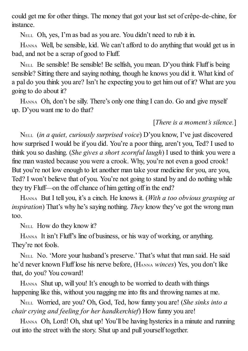could get me for other things. The money that got your last set of crêpe-de-chine, for instance.

NELL Oh, yes, I'm as bad as you are. You didn't need to rub it in.

HANNA Well, be sensible, kid. We can't afford to do anything that would get us in bad, and not be a scrap of good to Fluff.

NELL Be sensible! Be sensible! Be selfish, you mean. D'you think Fluff is being sensible? Sitting there and saying nothing, though he knows you did it. What kind of a pal do you think you are? Isn't he expecting you to get him out of it? What are you going to do about it?

HANNA Oh, don't be silly. There's only one thing I can do. Go and give myself up. D'you want me to do that?

## [*There is a moment's silence.*]

NELL (*in a quiet, curiously surprised voice*) D'you know, I've just discovered how surprised I would be if you did. You're a poor thing, aren't you, Ted? I used to think you so dashing. (*She gives a short scornful laugh*) I used to think you were a fine man wasted because you were a crook. Why, you're not even a good crook! But you're not low enough to let another man take your medicine for you, are you, Ted? I won't believe that of you. You're not going to stand by and do nothing while they try Fluff—on the off chance of him getting off in the end?

HANNA But I tell you, it's a cinch. He knows it. (*With a too obvious grasping at inspiration*) That's why he's saying nothing. *They* know they've got the wrong man too.

NELL How do they know it?

HANNA It isn't Fluff's line of business, or his way of working, or anything. They're not fools.

NELL No. 'More your husband's preserve.' That's what that man said. He said he'd never known Fluff lose his nerve before, (HANNA *winces*) Yes, you don't like that, do you? You coward!

HANNA Shut up, will you! It's enough to be worried to death with things happening like this, without you nagging me into fits and throwing names at me.

NELL Worried, are you? Oh, God, Ted, how funny you are! (*She sinks into a chair crying and feeling for her handkerchief*) How funny you are!

HANNA Oh, Lord! Oh, shut up! You'll be having hysterics in a minute and running out into the street with the story. Shut up and pull yourself together.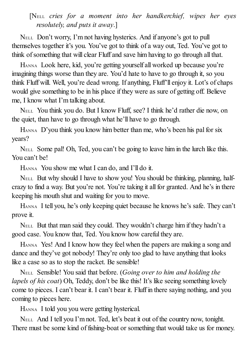[NELL *cries for a moment into her handkerchief, wipes her eyes resolutely, and puts it away*.]

NELL Don't worry, I'm not having hysterics. And if anyone's got to pull themselves together it's you. You've got to think of a way out, Ted. You've got to think of something that will clear Fluff and save him having to go through all that.

HANNA Look here, kid, you're getting yourself all worked up because you're imagining things worse than they are. You'd hate to have to go through it, so you think Fluff will. Well, you're dead wrong. If anything, Fluff'll enjoy it. Lot's of chaps would give something to be in his place if they were as sure of getting off. Believe me, I know what I'm talking about.

NELL You think you do. But I know Fluff, see? I think he'd rather die now, on the quiet, than have to go through what he'll have to go through.

HANNA D'you think you know him better than me, who's been his pal for six years?

NELL Some pal! Oh, Ted, you can't be going to leave him in the lurch like this. You can't be!

HANNA You show me what I can do, and I'll do it.

NELL But why should I have to show you! You should be thinking, planning, halfcrazy to find a way. But you're not. You're taking it allfor granted. And he's in there keeping his mouth shut and waiting for you to move.

HANNA I tell you, he's only keeping quiet because he knows he's safe. They can't prove it.

NELL But that man said they could. They wouldn't charge him if they hadn't a good case. You know that, Ted. You know how careful they are.

HANNA Yes! And I know how they feel when the papers are making a song and dance and they've got nobody! They're only too glad to have anything that looks like a case so as to stop the racket. Be sensible!

NELL Sensible! You said that before. (*Going over to him and holding the lapels of his coat*) Oh, Teddy, don't be like this! It's like seeing something lovely come to pieces. I can't bear it. I can't bear it. Fluff in there saying nothing, and you coming to pieces here.

HANNA I told you you were getting hysterical.

NELL And I tell you I'm not. Ted, let's beat it out of the country now, tonight. There must be some kind of fishing-boat or something that would take us for money.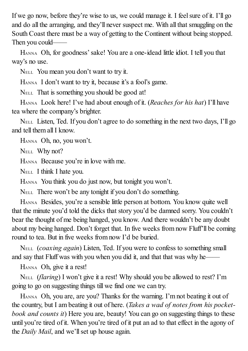If we go now, before they're wise to us, we could manage it. I feelsure of it. I'll go and do all the arranging, and they'll never suspect me. With all that smuggling on the South Coast there must be a way of getting to the Continent without being stopped. Then you could——

HANNA Oh, for goodness'sake! You are a one-idead little idiot. I tell you that way's no use.

NELL You mean you don't want to try it.

HANNA I don't want to try it, because it's a fool's game.

NELL That is something you should be good at!

HANNA Look here! I've had about enough of it. (*Reaches for his hat*) I'll have tea where the company's brighter.

NELL Listen, Ted. If you don't agree to do something in the next two days, I'll go and tell them all I know.

HANNA Oh, no, you won't.

NELL Why not?

HANNA Because you're in love with me.

NELL I think I hate you.

HANNA You think you do just now, but tonight you won't.

NELL There won't be any tonight if you don't do something.

HANNA Besides, you're a sensible little person at bottom. You know quite well that the minute you'd told the dicks that story you'd be damned sorry. You couldn't bear the thought of me being hanged, you know. And there wouldn't be any doubt about my being hanged. Don't forget that. In five weeks from now Fluff'll be coming round to tea. But in five weeks from now I'd be buried.

NELL (*coaxing again*) Listen, Ted. If you were to confess to something small and say that Fluff was with you when you did it, and that that was why he—

HANNA Oh, give it a rest!

NELL (*flaring*) I won't give it a rest! Why should you be allowed to rest? I'm going to go on suggesting things till we find one we can try.

HANNA Oh, you are, are you? Thanks for the warning. I'm not beating it out of the country, but I am beating it out of here. (*Takes a wad of notes from his pocketbook and counts it*) Here you are, beauty! You can go on suggesting things to these until you're tired of it. When you're tired of it put an ad to that effect in the agony of the *Daily Mail*, and we'll set up house again.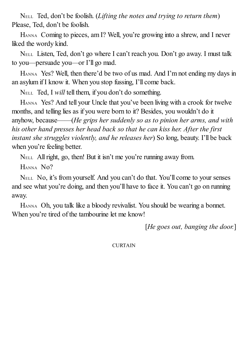NELL Ted, don't be foolish. (*Lifting the notes and trying to return them*) Please, Ted, don't be foolish.

HANNA Coming to pieces, am I? Well, you're growing into a shrew, and I never liked the wordy kind.

NELL Listen, Ted, don't go where I can't reach you. Don't go away. I must talk to you—persuade you—or I'll go mad.

HANNA Yes? Well, then there'd be two of us mad. And I'm not ending my days in an asylum if I know it. When you stop fussing, I'll come back.

NELL Ted, I *will* tell them, if you don't do something.

HANNA Yes? And tell your Uncle that you've been living with a crook for twelve months, and telling lies as if you were born to it? Besides, you wouldn't do it anyhow, because——(*He grips her suddenly so as to pinion her arms, and with his other hand presses her head back so that he can kiss her. After the first instant she struggles violently, and he releases her*) So long, beauty. I'll be back when you're feeling better.

NELL Allright, go, then! But it isn't me you're running away from.

HANNA No?

NELL No, it's from yourself. And you can't do that. You'll come to your senses and see what you're doing, and then you'll have to face it. You can't go on running away.

HANNA Oh, you talk like a bloody revivalist. You should be wearing a bonnet. When you're tired of the tambourine let me know!

[*He goes out, banging the door.*]

**CURTAIN**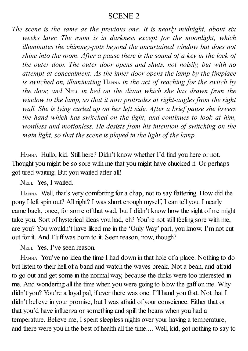### SCENE 2

*The scene is the same as the previous one. It is nearly midnight, about six weeks later. The room is in darkness except for the moonlight, which illuminates the chimney-pots beyond the uncurtained window but does not shine into the room. After a pause there is the sound of a key in the lock of the outer door. The outer door opens and shuts, not noisily, but with no attempt at concealment. As the inner door opens the lamp by the fireplace is switched on, illuminating* HANNA *in the act of reaching for the switch by the door, and* NELL *in bed on the divan which she has drawn from the window to the lamp, so that it now protrudes at right-angles from the right wall. She is lying curled up on her left side. After a brief pause she lowers the hand which has switched on the light, and continues to look at him, wordless and motionless. He desists from his intention of switching on the main light, so that the scene is played in the light of the lamp.*

HANNA Hullo, kid. Still here? Didn't know whether I'd find you here or not. Thought you might be so sore with me that you might have chucked it. Or perhaps got tired waiting. But you waited after all!

NELL Yes, I waited.

HANNA Well, that's very comforting for a chap, not to say flattering. How did the pony I left spin out? Allright? I was short enough myself, I can tell you. I nearly came back, once, for some of that wad, but I didn't know how the sight of me might take you. Sort of hysterical ideas you had, eh? You're not still feeling sore with me, are you? You wouldn't have liked me in the 'Only Way' part, you know. I'm not cut out for it. And Fluff was born to it. Seen reason, now, though?

NELL Yes. I've seen reason.

HANNA You've no idea the time I had down in that hole of a place. Nothing to do but listen to their hell of a band and watch the waves break. Not a bean, and afraid to go out and get some in the normal way, because the dicks were too interested in me. And wondering all the time when you were going to blow the gaff on me. Why didn't you? You're a loyal pal, if ever there was one. I'll hand you that. Not that I didn't believe in your promise, but I was afraid of your conscience. Either that or that you'd have influenza or something and spill the beans when you had a temperature. Believe me, I spent sleepless nights over your having a temperature, and there were you in the best of health all the time.... Well, kid, got nothing to say to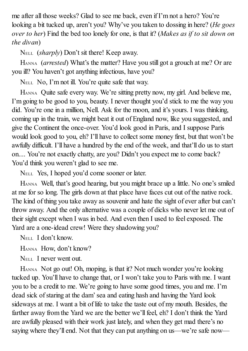me after all those weeks? Glad to see me back, even if I'm not a hero? You're looking a bit tucked up, aren't you? Why've you taken to dossing in here? (*He goes over to her*) Find the bed too lonely for one, is that it? (*Makes as if to sit down on the divan*)

NELL (*sharply*) Don't sit there! Keep away.

HANNA (*arrested*) What's the matter? Have you still got a grouch at me? Or are you ill? You haven't got anything infectious, have you?

NELL No, I'm not ill. You're quite safe that way.

HANNA Quite safe every way. We're sitting pretty now, my girl. And believe me, I'm going to be good to you, beauty. I never thought you'd stick to me the way you did. You're one in a million, Nell. Ask for the moon, and it's yours. I was thinking, coming up in the train, we might beat it out of England now, like you suggested, and give the Continent the once-over. You'd look good in Paris, and I suppose Paris would look good to you, eh? I'll have to collect some money first, but that won't be awfully difficult. I'll have a hundred by the end of the week, and that'll do us to start on.... You're not exactly chatty, are you? Didn't you expect me to come back? You'd think you weren't glad to see me.

NELL Yes, I hoped you'd come sooner or later.

HANNA Well, that's good hearing, but you might brace up a little. No one's smiled at me for so long. The girls down at that place have faces cut out of the native rock. The kind of thing you take away as souvenir and hate the sight of ever after but can't throw away. And the only alternative was a couple of dicks who never let me out of their sight except when I was in bed. And even then I used to feel exposed. The Yard are a one-idead crew! Were they shadowing you?

NELL I don't know.

HANNA How, don't know?

NELL I never went out.

HANNA Not go out! Oh, moping, is that it? Not much wonder you're looking tucked up. You'll have to change that, or I won't take you to Paris with me. I want you to be a credit to me. We're going to have some good times, you and me. I'm dead sick of staring at the dam'sea and eating hash and having the Yard look sideways at me. I want a bit of life to take the taste out of my mouth. Besides, the farther away from the Yard we are the better we'll feel, eh? I don't think the Yard are awfully pleased with their work just lately, and when they get mad there's no saying where they'll end. Not that they can put anything on us—we're safe now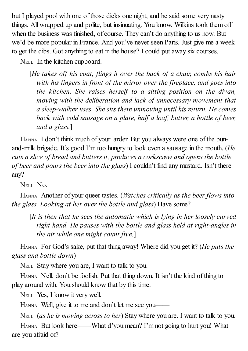but I played pool with one of those dicks one night, and he said some very nasty things. All wrapped up and polite, but insinuating. You know. Wilkins took them off when the business was finished, of course. They can't do anything to us now. But we'd be more popular in France. And you've never seen Paris. Just give me a week to get the dibs. Got anything to eat in the house? I could put away six courses.

NELL In the kitchen cupboard.

[*He takes of his coat, flings it over the back of a chair, combs his hair with his fingers in front of the mirror over the fireplace, and goes into the kitchen. She raises herself to a sitting position on the divan, moving with the deliberation and lack of unnecessary movement that a sleep-walker uses. She sits there unmoving until his return. He comes back with cold sausage on a plate, half a loaf, butter, a bottle of beer, and a glass.*]

HANNA I don't think much of your larder. But you always were one of the bunand-milk brigade. It's good I'm too hungry to look even a sausage in the mouth. (*He cuts a slice of bread and butters it, produces a corkscrew and opens the bottle of beer and pours the beer into the glass*) I couldn't find any mustard. Isn't there any?

NELL NO.

HANNA Another of your queer tastes. (*Watches critically as the beer flows into the glass. Looking at her over the bottle and glass*) Have some?

[*It is then that he sees the automatic which is lying in her loosely curved right hand. He pauses with the bottle and glass held at right-angles in the air while one might count five.*]

HANNA For God's sake, put that thing away! Where did you get it? (*He puts the glass and bottle down*)

NELL Stay where you are, I want to talk to you.

HANNA Nell, don't be foolish. Put that thing down. It isn't the kind of thing to play around with. You should know that by this time.

NELL Yes, I know it very well.

HANNA Well, give it to me and don't let me see you——

NELL (*as he is moving across to her*) Stay where you are. I want to talk to you.

HANNA But look here——What d'you mean? I'm not going to hurt you! What are you afraid of?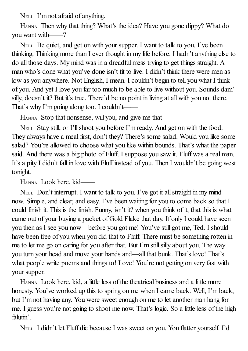NELL I'm not afraid of anything.

HANNA Then why that thing? What's the idea? Have you gone dippy? What do you want with——?

NELL Be quiet, and get on with your supper. I want to talk to you. I've been thinking. Thinking more than I ever thought in my life before. I hadn't anything else to do all those days. My mind was in a dreadful mess trying to get things straight. A man who's done what you've done isn't fit to live. I didn't think there were men as low as you anywhere. Not English, I mean. I couldn't begin to tell you what I think of you. And yet I love you far too much to be able to live without you. Sounds dam' silly, doesn't it? But it's true. There'd be no point in living at all with you not there. That's why I'm going along too. I couldn't——

HANNA Stop that nonsense, will you, and give me that——

NELL Stay still, or I'llshoot you before I'm ready. And get on with the food. They always have a meal first, don't they? There's some salad. Would you like some salad? You're allowed to choose what you like within bounds. That's what the paper said. And there was a big photo of Fluff. I suppose you saw it. Fluff was a real man. It's a pity I didn't fall in love with Fluff instead of you. Then I wouldn't be going west tonight.

HANNA Look here, kid——

NELL Don't interrupt. I want to talk to you. I've got it allstraight in my mind now. Simple, and clear, and easy. I've been waiting for you to come back so that I could finish it. This is the finish. Funny, isn't it? when you think of it, that this is what came out of your buying a packet of Gold Flake that day. If only I could have seen you then as I see you now—before you got me! You've still got me, Ted. I should have been free of you when you did that to Fluff. There must be something rotten in me to let me go on caring for you after that. But I'm still silly about you. The way you turn your head and move your hands and—all that bunk. That's love! That's what people write poems and things to! Love! You're not getting on very fast with your supper.

HANNA Look here, kid, a little less of the theatrical business and a little more honesty. You've worked up this to spring on me when I came back. Well, I'm back, but I'm not having any. You were sweet enough on me to let another man hang for me. I guess you're not going to shoot me now. That's logic. So a little less of the high falutin'.

NELL I didn't let Fluff die because I was sweet on you. You flatter yourself. I'd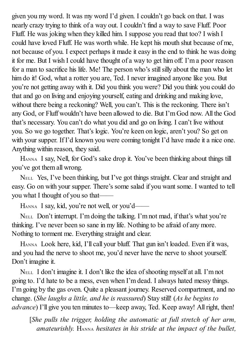given you my word. It was my word I'd given. I couldn't go back on that. I was nearly crazy trying to think of a way out. I couldn't find a way to save Fluff. Poor Fluff. He was joking when they killed him. I suppose you read that too? I wish I could have loved Fluff. He was worth while. He kept his mouth shut because of me, not because of you. I expect perhaps it made it easy in the end to think he was doing it for me. But I wish I could have thought of a way to get him off. I'm a poor reason for a man to sacrifice his life. Me! The person who's still silly about the man who let him do it! God, what a rotter you are, Ted. I never imagined anyone like you. But you're not getting away with it. Did you think you were? Did you think you could do that and go on living and enjoying yourself, eating and drinking and making love, without there being a reckoning? Well, you can't. This is the reckoning. There isn't any God, or Fluff wouldn't have been allowed to die. But I'm God now. All the God that's necessary. You can't do what you did and go on living. I can't live without you. So we go together. That's logic. You're keen on logic, aren't you? So get on with your supper. If I'd known you were coming tonight I'd have made it a nice one. Anything within reason, they said.

HANNA I say, Nell, for God's sake drop it. You've been thinking about things till you've got them all wrong.

NELL Yes, I've been thinking, but I've got things straight. Clear and straight and easy. Go on with your supper. There's some salad if you want some. I wanted to tell you what I thought of you so that——

HANNA I say, kid, you're not well, or you'd——

NELL Don't interrupt. I'm doing the talking. I'm not mad, if that's what you're thinking. I've never been so sane in my life. Nothing to be afraid of any more. Nothing to torment me. Everything straight and clear.

HANNA Look here, kid, I'll call your bluff. That gun isn't loaded. Even if it was, and you had the nerve to shoot me, you'd never have the nerve to shoot yourself. Don't imagine it.

NELL I don't imagine it. I don't like the idea ofshooting myself at all. I'm not going to. I'd hate to be a mess, even when I'm dead. I always hated messy things. I'm going by the gas oven. Quite a pleasant journey. Reserved compartment, and no change. (*She laughs a little, and he is reassured*) Stay still! (*As he begins to advance*) I'll give you ten minutes to—keep away, Ted. Keep away! Allright, then!

[*She pulls the trigger, holding the automatic at full stretch of her arm, amateurishly.* HANNA *hesitates in his stride at the impact of the bullet,*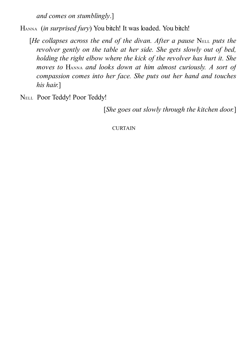*and comes on stumblingly*.]

HANNA (*in surprised fury*) You bitch! It was loaded. You bitch!

- [*He collapses across the end of the divan. After a pause* NELL *puts the revolver gently on the table at her side. She gets slowly out of bed, holding the right elbow where the kick of the revolver has hurt it. She moves to* HANNA *and looks down at him almost curiously. A sort of compassion comes into her face. She puts out her hand and touches his hair.*]
- NELL Poor Teddy! Poor Teddy!

[*She goes out slowly through the kitchen door.*]

CURTAIN